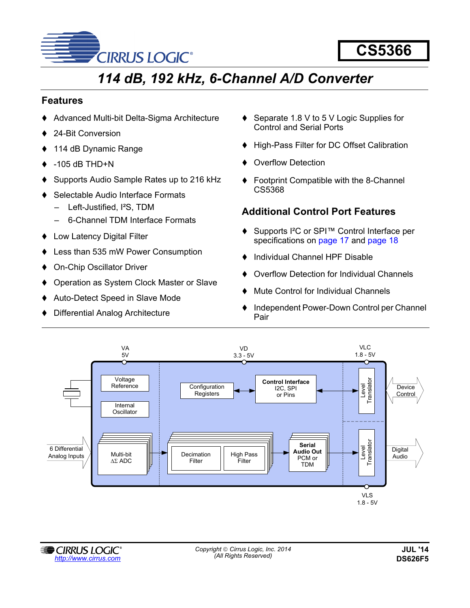

# *114 dB, 192 kHz, 6-Channel A/D Converter*

## **Features**

- Advanced Multi-bit Delta-Sigma Architecture
- 24-Bit Conversion
- 114 dB Dynamic Range
- -105 dB THD+N
- Supports Audio Sample Rates up to 216 kHz
- Selectable Audio Interface Formats
	- Left-Justified, I²S, TDM
	- 6-Channel TDM Interface Formats
- Low Latency Digital Filter
- Less than 535 mW Power Consumption
- On-Chip Oscillator Driver
- Operation as System Clock Master or Slave
- Auto-Detect Speed in Slave Mode
- Differential Analog Architecture
- ♦ Separate 1.8 V to 5 V Logic Supplies for Control and Serial Ports
- ♦ High-Pass Filter for DC Offset Calibration
- Overflow Detection
- ◆ Footprint Compatible with the 8-Channel CS5368

## <span id="page-0-0"></span>**Additional Control Port Features**

- ◆ Supports I<sup>2</sup>C or SPI<sup>™</sup> Control Interface per specifications on [page 17](#page-16-0) and [page 18](#page-17-0)
- ♦ Individual Channel HPF Disable
- Overflow Detection for Individual Channels
- Mute Control for Individual Channels
- ♦ Independent Power-Down Control per Channel Pair



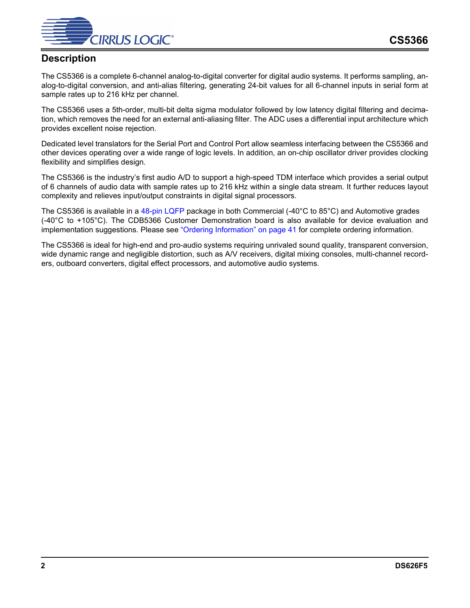

## **Description**

The CS5366 is a complete 6-channel analog-to-digital converter for digital audio systems. It performs sampling, analog-to-digital conversion, and anti-alias filtering, generating 24-bit values for all 6-channel inputs in serial form at sample rates up to 216 kHz per channel.

The CS5366 uses a 5th-order, multi-bit delta sigma modulator followed by low latency digital filtering and decimation, which removes the need for an external anti-aliasing filter. The ADC uses a differential input architecture which provides excellent noise rejection.

Dedicated level translators for the Serial Port and Control Port allow seamless interfacing between the CS5366 and other devices operating over a wide range of logic levels. In addition, an on-chip oscillator driver provides clocking flexibility and simplifies design.

The CS5366 is the industry's first audio A/D to support a high-speed TDM interface which provides a serial output of 6 channels of audio data with sample rates up to 216 kHz within a single data stream. It further reduces layout complexity and relieves input/output constraints in digital signal processors.

The CS5366 is available in a [48-pin LQFP](#page-39-0) package in both Commercial (-40°C to 85°C) and Automotive grades (-40°C to +105°C). The CDB5366 Customer Demonstration board is also available for device evaluation and implementation suggestions. Please see ["Ordering Information" on page 41](#page-40-0) for complete ordering information.

The CS5366 is ideal for high-end and pro-audio systems requiring unrivaled sound quality, transparent conversion, wide dynamic range and negligible distortion, such as A/V receivers, digital mixing consoles, multi-channel recorders, outboard converters, digital effect processors, and automotive audio systems.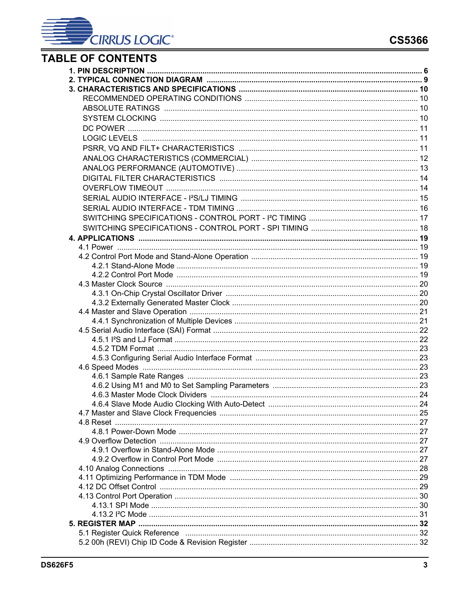

# **TABLE OF CONTENTS**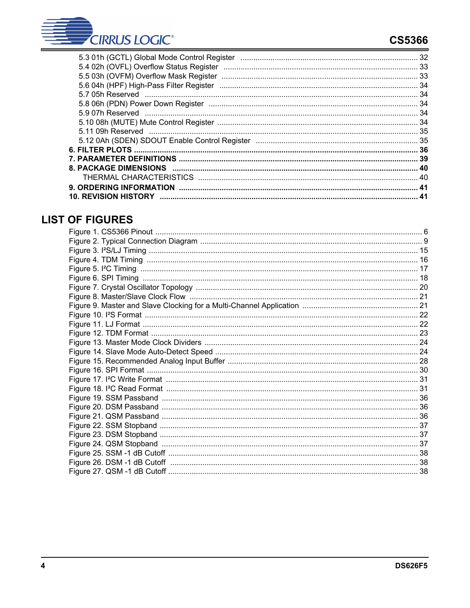

## **CS5366**

| $\mathbf{A}$ |
|--------------|
|              |

## **LIST OF FIGURES**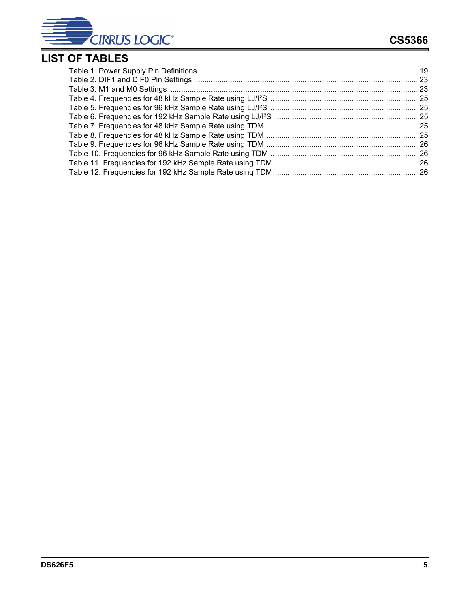

# **LIST OF TABLES**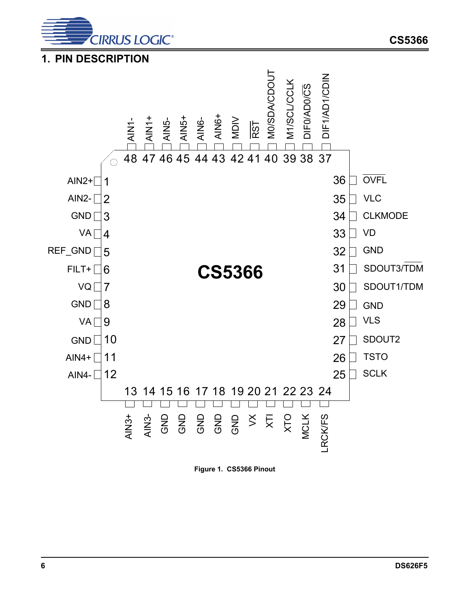

<span id="page-5-0"></span>



<span id="page-5-1"></span>**Figure 1. CS5366 Pinout**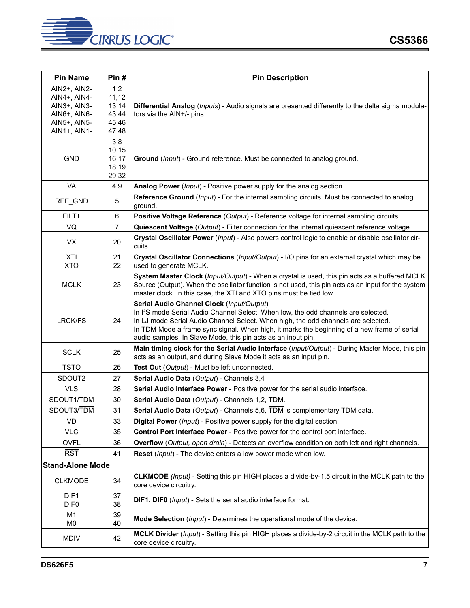

| <b>Pin Name</b>                                                                              | Pin#                                             | <b>Pin Description</b>                                                                                                                                                                                                                                                                                                                                                                          |
|----------------------------------------------------------------------------------------------|--------------------------------------------------|-------------------------------------------------------------------------------------------------------------------------------------------------------------------------------------------------------------------------------------------------------------------------------------------------------------------------------------------------------------------------------------------------|
| AIN2+, AIN2-<br>AIN4+, AIN4-<br>AIN3+, AIN3-<br>AIN6+, AIN6-<br>AIN5+, AIN5-<br>AIN1+, AIN1- | 1,2<br>11,12<br>13,14<br>43,44<br>45,46<br>47,48 | Differential Analog (Inputs) - Audio signals are presented differently to the delta sigma modula-<br>tors via the AIN+/- pins.                                                                                                                                                                                                                                                                  |
| <b>GND</b>                                                                                   | 3,8<br>10,15<br>16,17<br>18,19<br>29,32          | Ground (Input) - Ground reference. Must be connected to analog ground.                                                                                                                                                                                                                                                                                                                          |
| VA                                                                                           | 4,9                                              | Analog Power (Input) - Positive power supply for the analog section                                                                                                                                                                                                                                                                                                                             |
| REF_GND                                                                                      | 5                                                | Reference Ground (Input) - For the internal sampling circuits. Must be connected to analog<br>ground.                                                                                                                                                                                                                                                                                           |
| FILT+                                                                                        | 6                                                | Positive Voltage Reference (Output) - Reference voltage for internal sampling circuits.                                                                                                                                                                                                                                                                                                         |
| VQ                                                                                           | $\overline{7}$                                   | Quiescent Voltage (Output) - Filter connection for the internal quiescent reference voltage.                                                                                                                                                                                                                                                                                                    |
| VX                                                                                           | 20                                               | Crystal Oscillator Power (Input) - Also powers control logic to enable or disable oscillator cir-<br>cuits.                                                                                                                                                                                                                                                                                     |
| <b>XTI</b><br><b>XTO</b>                                                                     | 21<br>22                                         | Crystal Oscillator Connections (Input/Output) - I/O pins for an external crystal which may be<br>used to generate MCLK.                                                                                                                                                                                                                                                                         |
| <b>MCLK</b>                                                                                  | 23                                               | System Master Clock (Input/Output) - When a crystal is used, this pin acts as a buffered MCLK<br>Source (Output). When the oscillator function is not used, this pin acts as an input for the system<br>master clock. In this case, the XTI and XTO pins must be tied low.                                                                                                                      |
| <b>LRCK/FS</b>                                                                               | 24                                               | Serial Audio Channel Clock (Input/Output)<br>In I <sup>2</sup> S mode Serial Audio Channel Select. When low, the odd channels are selected.<br>In LJ mode Serial Audio Channel Select. When high, the odd channels are selected.<br>In TDM Mode a frame sync signal. When high, it marks the beginning of a new frame of serial<br>audio samples. In Slave Mode, this pin acts as an input pin. |
| <b>SCLK</b>                                                                                  | 25                                               | Main timing clock for the Serial Audio Interface (Input/Output) - During Master Mode, this pin<br>acts as an output, and during Slave Mode it acts as an input pin.                                                                                                                                                                                                                             |
| <b>TSTO</b>                                                                                  | 26                                               | Test Out (Output) - Must be left unconnected.                                                                                                                                                                                                                                                                                                                                                   |
| SDOUT2                                                                                       | 27                                               | Serial Audio Data (Output) - Channels 3,4                                                                                                                                                                                                                                                                                                                                                       |
| <b>VLS</b>                                                                                   | 28                                               | Serial Audio Interface Power - Positive power for the serial audio interface.                                                                                                                                                                                                                                                                                                                   |
| SDOUT1/TDM                                                                                   | 30                                               | Serial Audio Data (Output) - Channels 1,2, TDM.                                                                                                                                                                                                                                                                                                                                                 |
| SDOUT3/TDM                                                                                   | 31                                               | Serial Audio Data (Output) - Channels 5,6, TDM is complementary TDM data.                                                                                                                                                                                                                                                                                                                       |
| VD                                                                                           | 33                                               | Digital Power (Input) - Positive power supply for the digital section.                                                                                                                                                                                                                                                                                                                          |
| VLC                                                                                          | 35                                               | Control Port Interface Power - Positive power for the control port interface.                                                                                                                                                                                                                                                                                                                   |
| <b>OVFL</b>                                                                                  | 36                                               | Overflow (Output, open drain) - Detects an overflow condition on both left and right channels.                                                                                                                                                                                                                                                                                                  |
| <b>RST</b>                                                                                   | 41                                               | Reset (Input) - The device enters a low power mode when low.                                                                                                                                                                                                                                                                                                                                    |
| <b>Stand-Alone Mode</b>                                                                      |                                                  |                                                                                                                                                                                                                                                                                                                                                                                                 |
| <b>CLKMODE</b>                                                                               | 34                                               | CLKMODE (Input) - Setting this pin HIGH places a divide-by-1.5 circuit in the MCLK path to the<br>core device circuitry.                                                                                                                                                                                                                                                                        |
| DIF <sub>1</sub><br>DIF <sub>0</sub>                                                         | 37<br>38                                         | DIF1, DIF0 (Input) - Sets the serial audio interface format.                                                                                                                                                                                                                                                                                                                                    |
| M <sub>1</sub><br>M <sub>0</sub>                                                             | 39<br>40                                         | Mode Selection ( <i>Input</i> ) - Determines the operational mode of the device.                                                                                                                                                                                                                                                                                                                |
| <b>MDIV</b>                                                                                  | 42                                               | MCLK Divider (Input) - Setting this pin HIGH places a divide-by-2 circuit in the MCLK path to the<br>core device circuitry.                                                                                                                                                                                                                                                                     |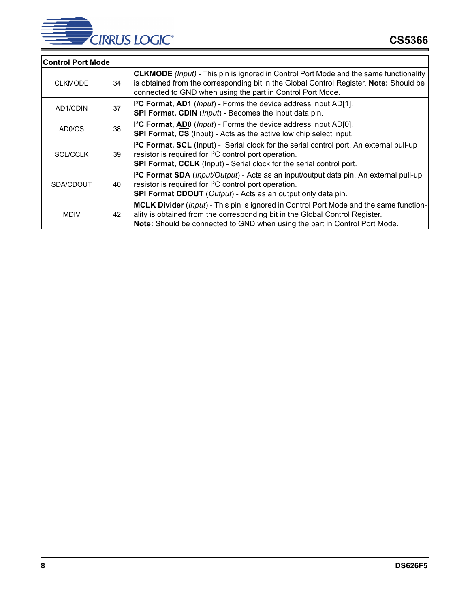

<span id="page-7-0"></span>

| <b>Control Port Mode</b> |    |                                                                                                                                                                                                                                                      |
|--------------------------|----|------------------------------------------------------------------------------------------------------------------------------------------------------------------------------------------------------------------------------------------------------|
| <b>CLKMODE</b>           | 34 | <b>CLKMODE</b> (Input) - This pin is ignored in Control Port Mode and the same functionality<br>is obtained from the corresponding bit in the Global Control Register. Note: Should be<br>connected to GND when using the part in Control Port Mode. |
| AD1/CDIN                 | 37 | I <sup>2</sup> C Format, AD1 ( <i>Input</i> ) - Forms the device address input AD[1].<br>SPI Format, CDIN (Input) - Becomes the input data pin.                                                                                                      |
| AD0/CS                   | 38 | I <sup>2</sup> C Format, AD0 ( <i>Input</i> ) - Forms the device address input AD[0].<br>SPI Format, CS (Input) - Acts as the active low chip select input.                                                                                          |
| <b>SCL/CCLK</b>          | 39 | I <sup>2</sup> C Format, SCL (Input) - Serial clock for the serial control port. An external pull-up<br>resistor is required for I <sup>2</sup> C control port operation.<br>SPI Format, CCLK (Input) - Serial clock for the serial control port.    |
| SDA/CDOUT                | 40 | I <sup>2</sup> C Format SDA (Input/Output) - Acts as an input/output data pin. An external pull-up<br>resistor is required for I <sup>2</sup> C control port operation.<br><b>SPI Format CDOUT</b> (Output) - Acts as an output only data pin.       |
| <b>MDIV</b>              | 42 | MCLK Divider (Input) - This pin is ignored in Control Port Mode and the same function-<br>ality is obtained from the corresponding bit in the Global Control Register.<br>Note: Should be connected to GND when using the part in Control Port Mode. |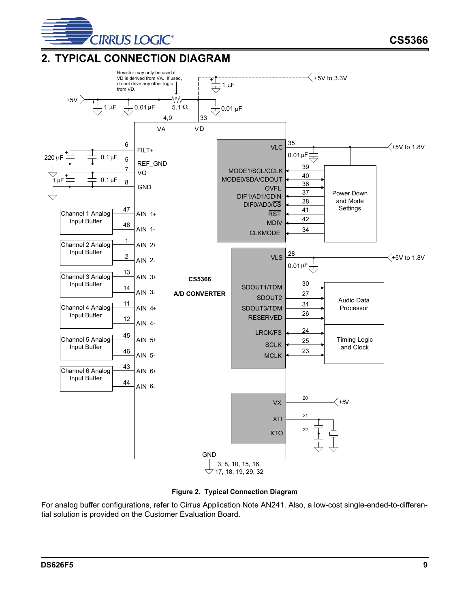

**CS5366**

## <span id="page-8-0"></span>**2. TYPICAL CONNECTION DIAGRAM**



![](_page_8_Figure_4.jpeg)

<span id="page-8-1"></span>For analog buffer configurations, refer to Cirrus Application Note AN241. Also, a low-cost single-ended-to-differential solution is provided on the Customer Evaluation Board.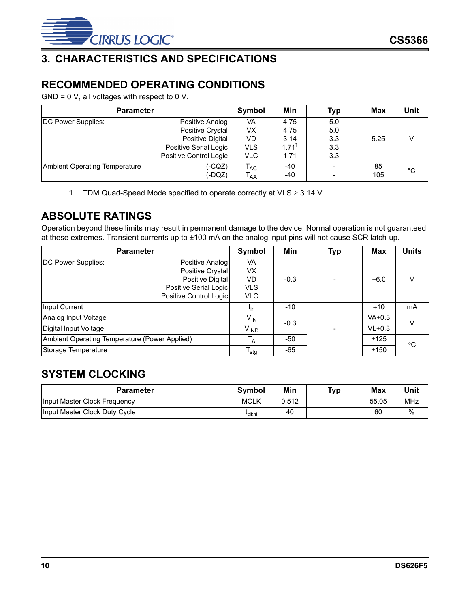![](_page_9_Picture_0.jpeg)

## <span id="page-9-0"></span>**3. CHARACTERISTICS AND SPECIFICATIONS**

## <span id="page-9-1"></span>**RECOMMENDED OPERATING CONDITIONS**

GND = 0 V, all voltages with respect to 0 V.

| <b>Parameter</b>              |                        | Symbol                     | Min               | Typ                      | <b>Max</b> | Unit |
|-------------------------------|------------------------|----------------------------|-------------------|--------------------------|------------|------|
| DC Power Supplies:            | Positive Analog        | VA                         | 4.75              | 5.0                      |            |      |
|                               | Positive Crystal       | VX                         | 4.75              | 5.0                      |            |      |
|                               | Positive Digital       | VD                         | 3.14              | 3.3                      | 5.25       |      |
|                               | Positive Serial Logic  | <b>VLS</b>                 | 1.71 <sup>1</sup> | 3.3                      |            |      |
|                               | Positive Control Logic | <b>VLC</b>                 | 1.71              | 3.3                      |            |      |
| Ambient Operating Temperature | (-CQZ)                 | $\mathsf{T}_{\mathsf{AC}}$ | -40               | $\overline{\phantom{0}}$ | 85         | °C   |
|                               | (-DQZ)                 | $\mathsf{T}_{\mathsf{AA}}$ | -40               |                          | 105        |      |

1. TDM Quad-Speed Mode specified to operate correctly at VLS  $\geq$  3.14 V.

## <span id="page-9-2"></span>**ABSOLUTE RATINGS**

Operation beyond these limits may result in permanent damage to the device. Normal operation is not guaranteed at these extremes. Transient currents up to ±100 mA on the analog input pins will not cause SCR latch-up.

| <b>Parameter</b>                              |                        | Symbol                     | Min    | <b>Typ</b> | Max      | Units        |
|-----------------------------------------------|------------------------|----------------------------|--------|------------|----------|--------------|
| DC Power Supplies:                            | Positive Analog        | VA                         |        |            |          |              |
|                                               | Positive Crystal       | <b>VX</b>                  |        |            |          |              |
|                                               | Positive Digital       | VD                         | $-0.3$ |            | $+6.0$   | V            |
|                                               | Positive Serial Logic  | <b>VLS</b>                 |        |            |          |              |
|                                               | Positive Control Logic | <b>VLC</b>                 |        |            |          |              |
| Input Current                                 |                        | <sup>l</sup> in            | $-10$  |            | $+10$    | mA           |
| Analog Input Voltage                          |                        | $\mathsf{V}_{\mathsf{IN}}$ | $-0.3$ |            | $VA+0.3$ | V            |
| Digital Input Voltage                         |                        | <b>V<sub>IND</sub></b>     |        |            | $VL+0.3$ |              |
| Ambient Operating Temperature (Power Applied) |                        | $T_A$                      | -50    |            | $+125$   | $^{\circ}$ C |
| Storage Temperature                           |                        | $T_{\text{stg}}$           | $-65$  |            | $+150$   |              |

## <span id="page-9-4"></span><span id="page-9-3"></span>**SYSTEM CLOCKING**

| <b>Parameter</b>              | <b>Symbol</b>      | Min   | Typ | <b>Max</b> | Unit |
|-------------------------------|--------------------|-------|-----|------------|------|
| Input Master Clock Frequency  | <b>MCLK</b>        | 0.512 |     | 55.05      | MHz  |
| Input Master Clock Duty Cycle | <sup>l</sup> cikhi | 40    |     | 60         | %    |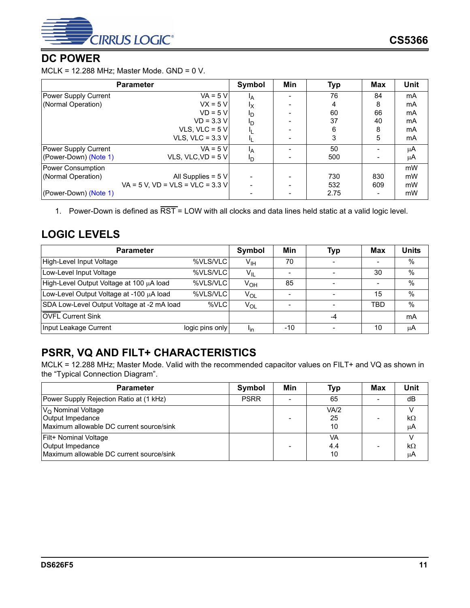![](_page_10_Picture_0.jpeg)

## <span id="page-10-0"></span>**DC POWER**

MCLK = 12.288 MHz; Master Mode. GND = 0 V.

| <b>Parameter</b>      | Symbol                              | Min            | <b>Typ</b> | Max  | <b>Unit</b> |    |
|-----------------------|-------------------------------------|----------------|------------|------|-------------|----|
| Power Supply Current  | $VA = 5 V$                          | <sup>1</sup> A |            | 76   | 84          | mA |
| (Normal Operation)    | $VX = 5V$                           | Iχ             |            | 4    | 8           | mA |
|                       | $VD = 5 V$                          | פי             |            | 60   | 66          | mA |
|                       | $VD = 3.3 V$                        | Ιŋ             |            | 37   | 40          | mA |
|                       | VLS, VLC = $5V$                     |                |            | 6    | 8           | mA |
|                       | VLS, VLC = $3.3$ V                  |                |            | 3    | 5           | mA |
| Power Supply Current  | $VA = 5 V$                          | ΙA             |            | 50   |             | μA |
| (Power-Down) (Note 1) | VLS, VLC, VD = $5$ V                | I <sub>D</sub> |            | 500  |             | μA |
| Power Consumption     |                                     |                |            |      |             | mW |
| (Normal Operation)    | All Supplies = $5 V$                |                |            | 730  | 830         | mW |
|                       | $VA = 5 V. VD = VLS = VLC = 3.3 Vl$ |                |            | 532  | 609         | mW |
| (Power-Down) (Note 1) |                                     |                |            | 2.75 |             | mW |

<span id="page-10-3"></span>1. Power-Down is defined as  $\overline{\text{RST}}$  = LOW with all clocks and data lines held static at a valid logic level.

## <span id="page-10-1"></span>**LOGIC LEVELS**

| <b>Parameter</b>                                   | Symbol          | Min                    | <b>Typ</b> | <b>Max</b>               | Units |               |
|----------------------------------------------------|-----------------|------------------------|------------|--------------------------|-------|---------------|
| High-Level Input Voltage<br>%VLS/VLC               |                 | $V_{\text{IH}}$        | 70         |                          |       | %             |
| Low-Level Input Voltage                            | %VLS/VLC        | $V_{IL}$               |            |                          | 30    | %             |
| High-Level Output Voltage at 100 µA load           | %VLS/VLC        | $V_{OH}$               | 85         |                          |       | $\%$          |
| Low-Level Output Voltage at -100 µA load           | %VLS/VLC        | $V_{OL}$               |            | $\overline{\phantom{a}}$ | 15    | $\frac{0}{0}$ |
| SDA Low-Level Output Voltage at -2 mA load<br>%VLC |                 | $V_{OL}$               |            |                          | TBD   | $\%$          |
| <b>OVFL</b> Current Sink                           |                 |                        |            | -4                       |       | mA            |
| Input Leakage Current                              | logic pins only | <b>I</b> <sub>in</sub> | -10        |                          | 10    | μA            |

## <span id="page-10-2"></span>**PSRR, VQ AND FILT+ CHARACTERISTICS**

MCLK = 12.288 MHz; Master Mode. Valid with the recommended capacitor values on FILT+ and VQ as shown in the "Typical Connection Diagram".

| <b>Parameter</b>                                                                             | Symbol      | Min | Typ              | <b>Max</b> | Unit     |
|----------------------------------------------------------------------------------------------|-------------|-----|------------------|------------|----------|
| Power Supply Rejection Ratio at (1 kHz)                                                      | <b>PSRR</b> |     | 65               |            | dB       |
| $VO$ Nominal Voltage<br>Output Impedance<br>Maximum allowable DC current source/sink         |             |     | VA/2<br>25<br>10 |            | kΩ<br>μA |
| <b>Filt+ Nominal Voltage</b><br>Output Impedance<br>Maximum allowable DC current source/sink |             |     | VA<br>4.4<br>10  |            | kΩ<br>μA |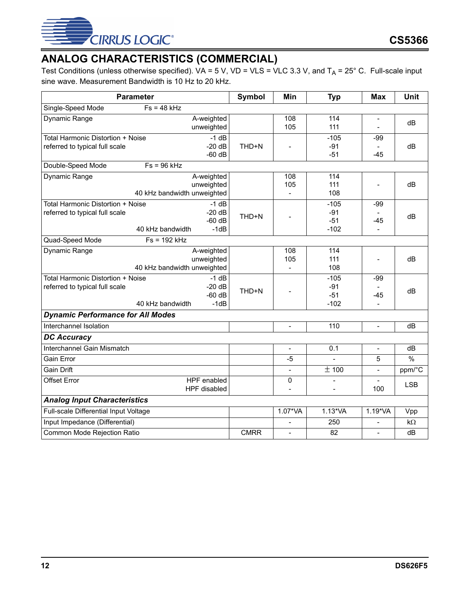![](_page_11_Picture_0.jpeg)

## <span id="page-11-0"></span>**ANALOG CHARACTERISTICS (COMMERCIAL)**

Test Conditions (unless otherwise specified). VA = 5 V, VD = VLS = VLC 3.3 V, and  $T_A$  = 25° C. Full-scale input sine wave. Measurement Bandwidth is 10 Hz to 20 kHz.

| <b>Parameter</b>                                                                        |                                                         | Symbol      | Min                      | <b>Typ</b>                         | <b>Max</b>                       | Unit          |
|-----------------------------------------------------------------------------------------|---------------------------------------------------------|-------------|--------------------------|------------------------------------|----------------------------------|---------------|
| Single-Speed Mode<br>$Fs = 48 kHz$                                                      |                                                         |             |                          |                                    |                                  |               |
| Dynamic Range                                                                           | A-weighted<br>unweighted                                |             | 108<br>105               | 114<br>111                         |                                  | dB            |
| Total Harmonic Distortion + Noise<br>referred to typical full scale                     | $-1$ dB<br>$-20 dB$<br>$-60$ dB                         | THD+N       |                          | $-105$<br>$-91$<br>$-51$           | $-99$<br>$-45$                   | dB            |
| Double-Speed Mode<br>$Fs = 96 kHz$                                                      |                                                         |             |                          |                                    |                                  |               |
| Dynamic Range                                                                           | A-weighted<br>unweighted<br>40 kHz bandwidth unweighted |             | 108<br>105               | 114<br>111<br>108                  | $\qquad \qquad -$                | dB            |
| Total Harmonic Distortion + Noise<br>referred to typical full scale<br>40 kHz bandwidth | $-1$ dB<br>$-20dB$<br>$-60$ dB<br>$-1dB$                | THD+N       |                          | $-105$<br>$-91$<br>$-51$<br>$-102$ | $-99$<br>$-45$<br>$\overline{a}$ | dB            |
| Quad-Speed Mode<br>$Fs = 192 kHz$                                                       |                                                         |             |                          |                                    |                                  |               |
| Dynamic Range                                                                           | A-weighted<br>unweighted<br>40 kHz bandwidth unweighted |             | 108<br>105               | 114<br>111<br>108                  | $\overline{a}$                   | dB            |
| Total Harmonic Distortion + Noise<br>referred to typical full scale<br>40 kHz bandwidth | $-1$ dB<br>$-20dB$<br>$-60$ dB<br>$-1dB$                | THD+N       |                          | $-105$<br>$-91$<br>$-51$<br>$-102$ | $-99$<br>$-45$<br>$\overline{a}$ | dB            |
| <b>Dynamic Performance for All Modes</b>                                                |                                                         |             |                          |                                    |                                  |               |
| Interchannel Isolation                                                                  |                                                         |             | $\overline{a}$           | 110                                | ÷.                               | dB            |
| <b>DC Accuracy</b>                                                                      |                                                         |             |                          |                                    |                                  |               |
| Interchannel Gain Mismatch                                                              |                                                         |             | $\overline{\phantom{a}}$ | 0.1                                | $\overline{\phantom{a}}$         | dB            |
| Gain Error                                                                              |                                                         |             | -5                       |                                    | 5                                | $\frac{9}{6}$ |
| <b>Gain Drift</b>                                                                       |                                                         |             | $\frac{1}{2}$            | $\overline{\pm}$ 100               | $\frac{1}{2}$                    | ppm/°C        |
| Offset Error                                                                            | HPF enabled<br>HPF disabled                             |             | 0<br>$\overline{a}$      | $\overline{a}$                     | 100                              | <b>LSB</b>    |
| <b>Analog Input Characteristics</b>                                                     |                                                         |             |                          |                                    |                                  |               |
| Full-scale Differential Input Voltage                                                   |                                                         |             | 1.07*VA                  | $1.13*VA$                          | 1.19*VA                          | Vpp           |
| Input Impedance (Differential)                                                          |                                                         |             |                          | 250                                | $\frac{1}{2}$                    | $k\Omega$     |
| Common Mode Rejection Ratio                                                             |                                                         | <b>CMRR</b> | $\overline{a}$           | 82                                 | $\blacksquare$                   | dB            |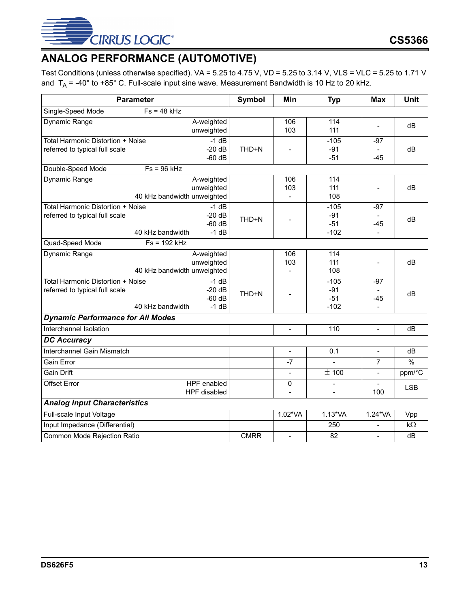![](_page_12_Picture_0.jpeg)

# <span id="page-12-0"></span>**ANALOG PERFORMANCE (AUTOMOTIVE)**

Test Conditions (unless otherwise specified). VA = 5.25 to 4.75 V, VD = 5.25 to 3.14 V, VLS = VLC = 5.25 to 1.71 V and  $T_A$  = -40° to +85° C. Full-scale input sine wave. Measurement Bandwidth is 10 Hz to 20 kHz.

|                                                                     | <b>Parameter</b>                                        | Symbol      | Min                      | <b>Typ</b>               | <b>Max</b>               | Unit       |
|---------------------------------------------------------------------|---------------------------------------------------------|-------------|--------------------------|--------------------------|--------------------------|------------|
| Single-Speed Mode                                                   | $Fs = 48 kHz$                                           |             |                          |                          |                          |            |
| Dynamic Range                                                       | A-weighted<br>unweighted                                |             | 106<br>103               | 114<br>111               | $\overline{a}$           | dB         |
| Total Harmonic Distortion + Noise                                   | $-1$ dB                                                 |             |                          | $-105$                   | $-97$                    |            |
| referred to typical full scale                                      | $-20 dB$<br>$-60$ dB                                    | THD+N       |                          | $-91$<br>$-51$           | $-45$                    | dB         |
| Double-Speed Mode                                                   | $Fs = 96 kHz$                                           |             |                          |                          |                          |            |
| Dynamic Range                                                       | A-weighted<br>unweighted<br>40 kHz bandwidth unweighted |             | 106<br>103               | 114<br>111<br>108        |                          | dB         |
| Total Harmonic Distortion + Noise<br>referred to typical full scale | $-1$ dB<br>$-20dB$                                      |             |                          | $-105$<br>$-91$          | $-97$                    |            |
|                                                                     | $-60$ dB<br>$-1$ dB<br>40 kHz bandwidth                 | THD+N       |                          | $-51$<br>$-102$          | $-45$<br>$\overline{a}$  | dB         |
| Quad-Speed Mode                                                     | $Fs = 192 kHz$                                          |             |                          |                          |                          |            |
| Dynamic Range                                                       | A-weighted<br>unweighted                                |             | 106<br>103               | 114<br>111               |                          | dB         |
|                                                                     | 40 kHz bandwidth unweighted                             |             |                          | 108                      |                          |            |
| Total Harmonic Distortion + Noise<br>referred to typical full scale | $-1$ dB<br>$-20 dB$<br>$-60$ dB                         | THD+N       |                          | $-105$<br>$-91$<br>$-51$ | $-97$<br>-45             | dB         |
|                                                                     | 40 kHz bandwidth<br>$-1$ dB                             |             |                          | $-102$                   | $\blacksquare$           |            |
| <b>Dynamic Performance for All Modes</b>                            |                                                         |             |                          |                          |                          |            |
| Interchannel Isolation                                              |                                                         |             | $\overline{\phantom{a}}$ | 110                      | $\blacksquare$           | dB         |
| <b>DC Accuracy</b>                                                  |                                                         |             |                          |                          |                          |            |
| Interchannel Gain Mismatch                                          |                                                         |             | $\qquad \qquad -$        | 0.1                      | $\overline{\phantom{a}}$ | dB         |
| Gain Error                                                          |                                                         |             | $-7$                     | $\blacksquare$           | $\overline{7}$           | $\%$       |
| <b>Gain Drift</b>                                                   |                                                         |             | $\overline{a}$           | $\overline{\pm 100}$     | $\overline{a}$           | ppm/°C     |
| <b>Offset Error</b>                                                 | HPF enabled<br>HPF disabled                             |             | 0                        | $\overline{a}$           | 100                      | <b>LSB</b> |
| <b>Analog Input Characteristics</b>                                 |                                                         |             |                          |                          |                          |            |
| Full-scale Input Voltage                                            |                                                         |             | 1.02*VA                  | $1.13*VA$                | 1.24*VA                  | Vpp        |
| Input Impedance (Differential)                                      |                                                         |             |                          | 250                      | $\qquad \qquad -$        | $k\Omega$  |
| Common Mode Rejection Ratio                                         |                                                         | <b>CMRR</b> | $\overline{\phantom{a}}$ | 82                       | $\overline{\phantom{a}}$ | dB         |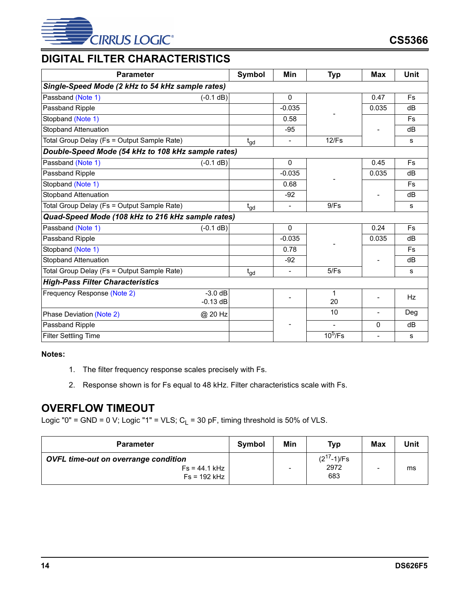![](_page_13_Picture_0.jpeg)

## <span id="page-13-0"></span>**DIGITAL FILTER CHARACTERISTICS**

| <b>Parameter</b>                                   |                         | <b>Symbol</b>   | Min                      | <b>Typ</b>               | Max            | <b>Unit</b> |
|----------------------------------------------------|-------------------------|-----------------|--------------------------|--------------------------|----------------|-------------|
| Single-Speed Mode (2 kHz to 54 kHz sample rates)   |                         |                 |                          |                          |                |             |
| Passband (Note 1)                                  | $(-0.1 dB)$             |                 | 0                        |                          | 0.47           | <b>Fs</b>   |
| Passband Ripple                                    |                         |                 | $-0.035$                 |                          | 0.035          | dB          |
| Stopband (Note 1)                                  |                         |                 | 0.58                     |                          |                | <b>Fs</b>   |
| <b>Stopband Attenuation</b>                        |                         |                 | $-95$                    |                          |                | dB          |
| Total Group Delay (Fs = Output Sample Rate)        |                         | $t_{gd}$        | $\blacksquare$           | 12/Fs                    |                | s           |
| Double-Speed Mode (54 kHz to 108 kHz sample rates) |                         |                 |                          |                          |                |             |
| Passband (Note 1)                                  | $(-0.1 dB)$             |                 | 0                        |                          | 0.45           | <b>Fs</b>   |
| Passband Ripple                                    |                         |                 | $-0.035$                 |                          | 0.035          | dB          |
| Stopband (Note 1)                                  |                         |                 | 0.68                     |                          |                | <b>Fs</b>   |
| <b>Stopband Attenuation</b>                        |                         |                 | $-92$                    |                          |                | dB          |
| Total Group Delay (Fs = Output Sample Rate)        |                         | $t_{\text{gd}}$ | $\blacksquare$           | 9/Fs                     |                | s           |
| Quad-Speed Mode (108 kHz to 216 kHz sample rates)  |                         |                 |                          |                          |                |             |
| Passband (Note 1)                                  | $(-0.1 dB)$             |                 | $\mathbf{0}$             |                          | 0.24           | Fs          |
| Passband Ripple                                    |                         |                 | $-0.035$                 |                          | 0.035          | dB          |
| Stopband (Note 1)                                  |                         |                 | 0.78                     |                          |                | <b>Fs</b>   |
| <b>Stopband Attenuation</b>                        |                         |                 | $-92$                    |                          |                | dB          |
| Total Group Delay (Fs = Output Sample Rate)        |                         | $t_{gd}$        | $\overline{\phantom{a}}$ | 5/Fs                     |                | s           |
| <b>High-Pass Filter Characteristics</b>            |                         |                 |                          |                          |                |             |
| Frequency Response (Note 2)                        | $-3.0$ dB<br>$-0.13$ dB |                 |                          | 1<br>20                  |                | Hz          |
| Phase Deviation (Note 2)                           | @ 20 Hz                 |                 |                          | 10                       | $\blacksquare$ | Deg         |
| Passband Ripple                                    |                         |                 |                          | $\overline{\phantom{a}}$ | 0              | dB          |
| <b>Filter Settling Time</b>                        |                         |                 |                          | $10^5$ /Fs               |                | s           |

#### <span id="page-13-2"></span>**Notes:**

- 1. The filter frequency response scales precisely with Fs.
- 2. Response shown is for Fs equal to 48 kHz. Filter characteristics scale with Fs.

## <span id="page-13-3"></span><span id="page-13-1"></span>**OVERFLOW TIMEOUT**

Logic "0" = GND = 0 V; Logic "1" = VLS;  $C_L$  = 30 pF, timing threshold is 50% of VLS.

| <b>Parameter</b>                                                                 | Symbol | Min | <b>Typ</b>                     | <b>Max</b> | Unit |
|----------------------------------------------------------------------------------|--------|-----|--------------------------------|------------|------|
| <b>OVFL time-out on overrange condition</b><br>$Fs = 44.1 kHz$<br>$Fs = 192 kHz$ |        |     | $(2^{17}-1)/Fs$<br>2972<br>683 |            | ms   |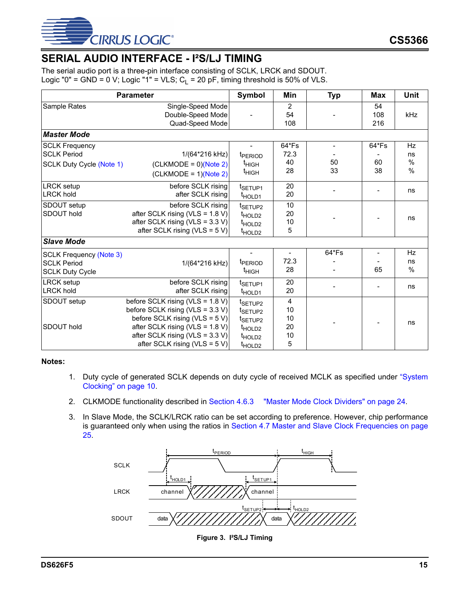![](_page_14_Picture_0.jpeg)

## <span id="page-14-0"></span>**SERIAL AUDIO INTERFACE - I²S/LJ TIMING**

The serial audio port is a three-pin interface consisting of SCLK, LRCK and SDOUT. Logic "0" = GND = 0 V; Logic "1" = VLS;  $C_1$  = 20 pF, timing threshold is 50% of VLS.

|                                                                                | <b>Parameter</b>                                                                                                                                                                                                         | <b>Symbol</b>                                                                                                                       | Min                            | <b>Typ</b>                           | <b>Max</b>        | <b>Unit</b>                     |
|--------------------------------------------------------------------------------|--------------------------------------------------------------------------------------------------------------------------------------------------------------------------------------------------------------------------|-------------------------------------------------------------------------------------------------------------------------------------|--------------------------------|--------------------------------------|-------------------|---------------------------------|
| Sample Rates                                                                   | Single-Speed Mode<br>Double-Speed Mode<br>Quad-Speed Mode                                                                                                                                                                | $\overline{a}$                                                                                                                      | 2<br>54<br>108                 | $\overline{\phantom{a}}$             | 54<br>108<br>216  | kHz                             |
| <b>Master Mode</b>                                                             |                                                                                                                                                                                                                          |                                                                                                                                     |                                |                                      |                   |                                 |
| <b>SCLK Frequency</b><br><b>SCLK Period</b><br><b>SCLK Duty Cycle (Note 1)</b> | 1/(64*216 kHz)<br>$(CLKMODE = 0)(Note 2)$<br>$(CLKMODE = 1)(Note 2)$                                                                                                                                                     | t <sub>PERIOD</sub><br>$t_{HIGH}$<br><sup>t</sup> HIGH                                                                              | 64*Fs<br>72.3<br>40<br>28      | $\overline{\phantom{a}}$<br>50<br>33 | 64*Fs<br>60<br>38 | <b>Hz</b><br>ns<br>$\%$<br>$\%$ |
| <b>LRCK</b> setup<br><b>LRCK hold</b>                                          | before SCLK rising<br>after SCLK rising                                                                                                                                                                                  | t <sub>SETUP1</sub><br>t <sub>HOLD1</sub>                                                                                           | 20<br>20                       |                                      |                   | ns                              |
| SDOUT setup<br>SDOUT hold                                                      | before SCLK rising<br>after SCLK rising (VLS = $1.8$ V)<br>after SCLK rising (VLS = $3.3$ V)<br>after SCLK rising (VLS = $5 V$ )                                                                                         | t <sub>SETUP2</sub><br>t <sub>HOLD2</sub><br>t <sub>HOLD2</sub><br>t <sub>HOLD2</sub>                                               | 10<br>20<br>10<br>5            |                                      |                   | ns                              |
| <b>Slave Mode</b>                                                              |                                                                                                                                                                                                                          |                                                                                                                                     |                                |                                      |                   |                                 |
| <b>SCLK Frequency (Note 3)</b><br><b>SCLK Period</b><br><b>SCLK Duty Cycle</b> | 1/(64*216 kHz)                                                                                                                                                                                                           | t <sub>PERIOD</sub><br>$t_{\text{HIGH}}$                                                                                            | 72.3<br>28                     | 64*Fs                                | 65                | Hz<br>ns<br>%                   |
| <b>LRCK</b> setup<br><b>LRCK hold</b>                                          | before SCLK rising<br>after SCLK rising                                                                                                                                                                                  | t <sub>SETUP1</sub><br>t <sub>HOLD1</sub>                                                                                           | 20<br>20                       |                                      |                   | ns                              |
| SDOUT setup<br>SDOUT hold                                                      | before SCLK rising (VLS = $1.8$ V)<br>before SCLK rising (VLS = $3.3$ V)<br>before SCLK rising (VLS = 5 V)<br>after SCLK rising (VLS = $1.8$ V)<br>after SCLK rising (VLS = $3.3$ V)<br>after SCLK rising (VLS = $5 V$ ) | t <sub>SETUP2</sub><br>t <sub>SETUP2</sub><br>t <sub>SETUP2</sub><br>t <sub>HOLD2</sub><br>t <sub>HOLD2</sub><br>t <sub>HOLD2</sub> | 4<br>10<br>10<br>20<br>10<br>5 |                                      |                   | ns                              |

#### <span id="page-14-2"></span>**Notes:**

- 1. Duty cycle of generated SCLK depends on duty cycle of received MCLK as specified under ["System](#page-9-3) [Clocking" on page 10](#page-9-3).
- <span id="page-14-3"></span>2. CLKMODE functionality described in [Section 4.6.3 "Master Mode Clock Dividers" on page 24](#page-23-0).
- <span id="page-14-4"></span>3. In Slave Mode, the SCLK/LRCK ratio can be set according to preference. However, chip performance is guaranteed only when using the ratios in [Section 4.7 Master and Slave Clock Frequencies on page](#page-24-0) [25](#page-24-0).

<span id="page-14-1"></span>![](_page_14_Figure_9.jpeg)

**Figure 3. I²S/LJ Timing**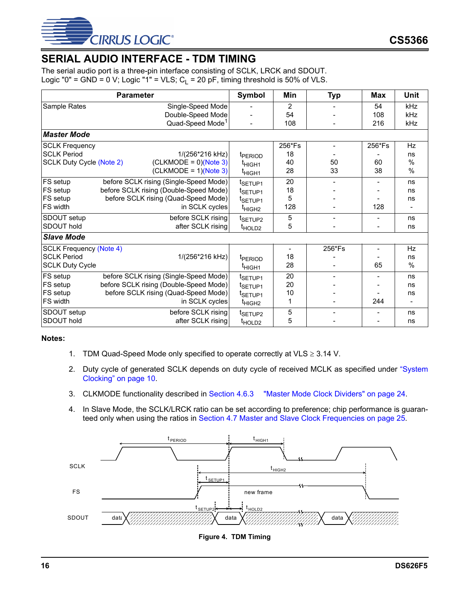![](_page_15_Picture_0.jpeg)

## <span id="page-15-0"></span>**SERIAL AUDIO INTERFACE - TDM TIMING**

The serial audio port is a three-pin interface consisting of SCLK, LRCK and SDOUT. Logic "0" = GND = 0 V; Logic "1" = VLS;  $C_1$  = 20 pF, timing threshold is 50% of VLS.

|                                 | <b>Parameter</b>                       | Symbol              | Min    | <b>Typ</b> | <b>Max</b>               | Unit          |
|---------------------------------|----------------------------------------|---------------------|--------|------------|--------------------------|---------------|
| Sample Rates                    | Single-Speed Mode                      |                     | 2      |            | 54                       | kHz           |
|                                 | Double-Speed Mode                      |                     | 54     |            | 108                      | kHz           |
|                                 | Quad-Speed Mode <sup>1</sup>           |                     | 108    |            | 216                      | kHz           |
| <b>Master Mode</b>              |                                        |                     |        |            |                          |               |
| <b>SCLK Frequency</b>           |                                        |                     | 256*Fs |            | 256*Fs                   | Hz            |
| <b>SCLK Period</b>              | 1/(256*216 kHz)                        | t <sub>PFRIOD</sub> | 18     |            |                          | ns            |
| <b>SCLK Duty Cycle (Note 2)</b> | $(CLKMODE = 0)(Note 3)$                | t <sub>HIGH1</sub>  | 40     | 50         | 60                       | $\frac{0}{0}$ |
|                                 | $(CLKMODE = 1)(Note 3)$                | t <sub>HIGH1</sub>  | 28     | 33         | 38                       | $\frac{0}{0}$ |
| FS setup                        | before SCLK rising (Single-Speed Mode) | t <sub>SETUP1</sub> | 20     |            |                          | ns            |
| FS setup                        | before SCLK rising (Double-Speed Mode) | t <sub>SETUP1</sub> | 18     |            |                          | ns            |
| FS setup                        | before SCLK rising (Quad-Speed Mode)   | t <sub>SETUP1</sub> | 5      |            |                          | ns            |
| FS width                        | in SCLK cycles                         | t <sub>HIGH2</sub>  | 128    |            | 128                      |               |
| SDOUT setup                     | before SCLK rising                     | t <sub>SETUP2</sub> | 5      |            | $\overline{\phantom{a}}$ | ns            |
| SDOUT hold                      | after SCLK rising                      | t <sub>HOLD2</sub>  | 5      |            |                          | ns            |
| <b>Slave Mode</b>               |                                        |                     |        |            |                          |               |
| <b>SCLK Frequency (Note 4)</b>  |                                        |                     | -      | 256*Fs     |                          | Hz            |
| <b>SCLK Period</b>              | 1/(256*216 kHz)                        | t <sub>PERIOD</sub> | 18     |            |                          | ns            |
| <b>SCLK Duty Cycle</b>          |                                        | t <sub>HIGH1</sub>  | 28     |            | 65                       | %             |
| FS setup                        | before SCLK rising (Single-Speed Mode) | t <sub>SETUP1</sub> | 20     |            |                          | ns            |
| FS setup                        | before SCLK rising (Double-Speed Mode) | t <sub>SETUP1</sub> | 20     |            |                          | ns            |
| FS setup                        | before SCLK rising (Quad-Speed Mode)   | t <sub>SETUP1</sub> | 10     |            |                          | ns            |
| FS width                        | in SCLK cycles                         | t <sub>HIGH2</sub>  | 1      |            | 244                      |               |
| SDOUT setup                     | before SCLK rising                     | t <sub>SETUP2</sub> | 5      |            |                          | ns            |
| SDOUT hold                      | after SCLK rising                      | t <sub>HOLD2</sub>  | 5      |            |                          | ns            |

#### **Notes:**

- 1. TDM Quad-Speed Mode only specified to operate correctly at VLS  $\geq$  3.14 V.
- <span id="page-15-2"></span>2. Duty cycle of generated SCLK depends on duty cycle of received MCLK as specified under ["System](#page-9-3) [Clocking" on page 10](#page-9-3).
- <span id="page-15-3"></span>3. CLKMODE functionality described in [Section 4.6.3 "Master Mode Clock Dividers" on page 24](#page-23-0).
- <span id="page-15-4"></span>4. In Slave Mode, the SCLK/LRCK ratio can be set according to preference; chip performance is guaranteed only when using the ratios in [Section 4.7 Master and Slave Clock Frequencies on page 25.](#page-24-0)

<span id="page-15-1"></span>![](_page_15_Figure_10.jpeg)

**Figure 4. TDM Timing**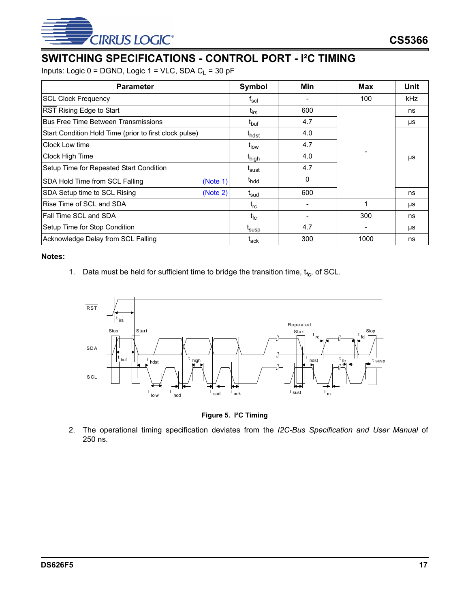![](_page_16_Picture_0.jpeg)

## <span id="page-16-0"></span>**SWITCHING SPECIFICATIONS - CONTROL PORT - I²C TIMING**

Inputs: Logic  $0 = DGND$ , Logic  $1 = VLC$ , SDA  $C_L = 30 pF$ 

| <b>Parameter</b>                                       | Symbol                   | Min | Max  | Unit |
|--------------------------------------------------------|--------------------------|-----|------|------|
| <b>SCL Clock Frequency</b>                             | $f_{\rm scl}$            |     | 100  | kHz  |
| RST Rising Edge to Start                               | $t_{irs}$                | 600 |      | ns   |
| <b>Bus Free Time Between Transmissions</b>             | t <sub>buf</sub>         | 4.7 |      | μs   |
| Start Condition Hold Time (prior to first clock pulse) | t <sub>hdst</sub>        | 4.0 |      |      |
| Clock Low time                                         | t <sub>low</sub>         | 4.7 |      |      |
| Clock High Time                                        | t <sub>high</sub>        | 4.0 |      | μs   |
| Setup Time for Repeated Start Condition                | t <sub>sust</sub>        | 4.7 |      |      |
| SDA Hold Time from SCL Falling<br>(Note 1)             | t <sub>hdd</sub>         | 0   |      |      |
| SDA Setup time to SCL Rising<br>(Note 2)               | t <sub>sud</sub>         | 600 |      | ns   |
| Rise Time of SCL and SDA                               | $t_{rc}$                 |     |      | μs   |
| <b>Fall Time SCL and SDA</b>                           | $t_{\sf fc}$             |     | 300  | ns   |
| Setup Time for Stop Condition                          | t <sub>susp</sub>        | 4.7 |      | μs   |
| Acknowledge Delay from SCL Falling                     | $\mathfrak{r}_{\sf ack}$ | 300 | 1000 | ns   |

#### <span id="page-16-3"></span>**Notes:**

1. Data must be held for sufficient time to bridge the transition time,  $t_{fc}$ , of SCL.

![](_page_16_Figure_7.jpeg)

**Figure 5. I²C Timing**

<span id="page-16-2"></span><span id="page-16-1"></span>2. The operational timing specification deviates from the *I2C-Bus Specification and User Manual* of 250 ns.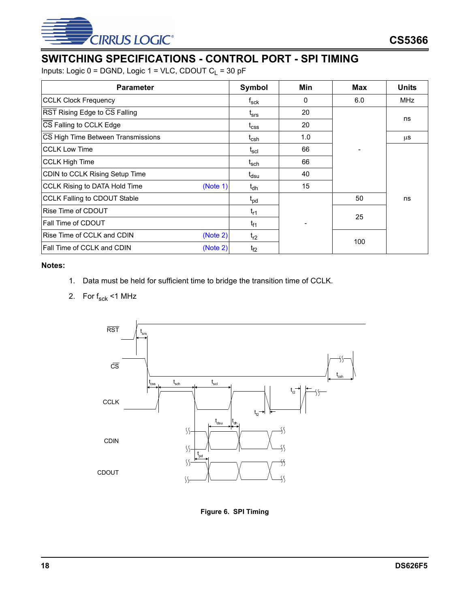![](_page_17_Picture_0.jpeg)

## <span id="page-17-0"></span>**SWITCHING SPECIFICATIONS - CONTROL PORT - SPI TIMING**

Inputs: Logic  $0 = DGND$ , Logic  $1 = VLC$ , CDOUT  $C_L = 30 pF$ 

| <b>Parameter</b>                          | Symbol                      | Min | <b>Max</b> | <b>Units</b> |
|-------------------------------------------|-----------------------------|-----|------------|--------------|
| <b>CCLK Clock Frequency</b>               | $\mathsf{f}_{\mathsf{sck}}$ | 0   | 6.0        | MHz          |
| RST Rising Edge to CS Falling             | $t_{\rm srs}$               | 20  |            |              |
| CS Falling to CCLK Edge                   | $t_{\rm css}$               | 20  |            | ns           |
| CS High Time Between Transmissions        | t <sub>csh</sub>            | 1.0 |            | μS           |
| <b>CCLK Low Time</b>                      | $\mathsf{t}_{\mathsf{scl}}$ | 66  |            |              |
| <b>CCLK High Time</b>                     | t <sub>sch</sub>            | 66  |            |              |
| CDIN to CCLK Rising Setup Time            | t <sub>dsu</sub>            | 40  |            |              |
| CCLK Rising to DATA Hold Time<br>(Note 1) | $t_{dh}$                    | 15  |            |              |
| <b>CCLK Falling to CDOUT Stable</b>       | $t_{\sf pd}$                |     | 50         | ns           |
| Rise Time of CDOUT                        | $t_{r1}$                    |     | 25         |              |
| Fall Time of CDOUT                        | $t_{f1}$                    |     |            |              |
| Rise Time of CCLK and CDIN<br>(Note 2)    | $t_{r2}$                    |     | 100        |              |
| Fall Time of CCLK and CDIN<br>(Note 2)    | t <sub>f2</sub>             |     |            |              |

#### <span id="page-17-2"></span>**Notes:**

- 1. Data must be held for sufficient time to bridge the transition time of CCLK.
- <span id="page-17-3"></span>2. For  $f_{\text{sck}}$  <1 MHz

![](_page_17_Figure_8.jpeg)

<span id="page-17-1"></span>**Figure 6. SPI Timing**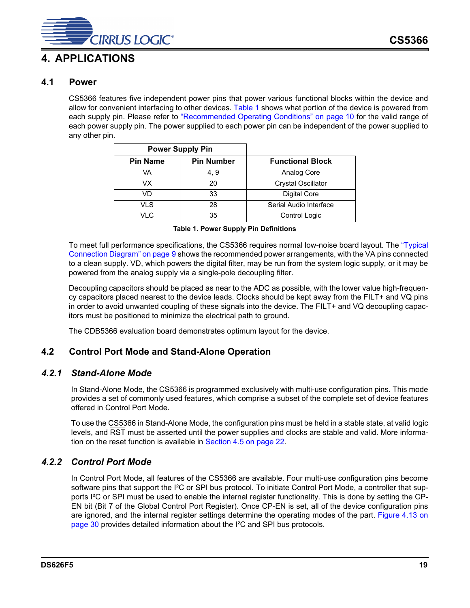![](_page_18_Picture_0.jpeg)

## <span id="page-18-0"></span>**4. APPLICATIONS**

## <span id="page-18-1"></span>**4.1 Power**

CS5366 features five independent power pins that power various functional blocks within the device and allow for convenient interfacing to other devices. [Table 1](#page-18-5) shows what portion of the device is powered from each supply pin. Please refer to ["Recommended Operating Conditions" on page 10](#page-9-1) for the valid range of each power supply pin. The power supplied to each power pin can be independent of the power supplied to any other pin.

|                 | <b>Power Supply Pin</b> |                           |
|-----------------|-------------------------|---------------------------|
| <b>Pin Name</b> | <b>Pin Number</b>       | <b>Functional Block</b>   |
| VA              | 4.9                     | Analog Core               |
| VX              | 20                      | <b>Crystal Oscillator</b> |
| VD              | 33                      | Digital Core              |
| VLS             | 28                      | Serial Audio Interface    |
| VI C            | 35                      | Control Logic             |

**Table 1. Power Supply Pin Definitions**

<span id="page-18-5"></span>To meet full performance specifications, the CS5366 requires normal low-noise board layout. The ["Typical](#page-8-0) [Connection Diagram" on page 9](#page-8-0) shows the recommended power arrangements, with the VA pins connected to a clean supply. VD, which powers the digital filter, may be run from the system logic supply, or it may be powered from the analog supply via a single-pole decoupling filter.

Decoupling capacitors should be placed as near to the ADC as possible, with the lower value high-frequency capacitors placed nearest to the device leads. Clocks should be kept away from the FILT+ and VQ pins in order to avoid unwanted coupling of these signals into the device. The FILT+ and VQ decoupling capacitors must be positioned to minimize the electrical path to ground.

The CDB5366 evaluation board demonstrates optimum layout for the device.

## <span id="page-18-2"></span>**4.2 Control Port Mode and Stand-Alone Operation**

### <span id="page-18-3"></span>*4.2.1 Stand-Alone Mode*

In Stand-Alone Mode, the CS5366 is programmed exclusively with multi-use configuration pins. This mode provides a set of commonly used features, which comprise a subset of the complete set of device features offered in Control Port Mode.

To use the CS5366 in Stand-Alone Mode, the configuration pins must be held in a stable state, at valid logic levels, and RST must be asserted until the power supplies and clocks are stable and valid. More information on the reset function is available in [Section 4.5 on page 22.](#page-21-0)

## <span id="page-18-4"></span>*4.2.2 Control Port Mode*

In Control Port Mode, all features of the CS5366 are available. Four multi-use configuration pins become software pins that support the I<sup>2</sup>C or SPI bus protocol. To initiate Control Port Mode, a controller that supports I²C or SPI must be used to enable the internal register functionality. This is done by setting the CP-EN bit (Bit 7 of the Global Control Port Register). Once CP-EN is set, all of the device configuration pins are ignored, and the internal register settings determine the operating modes of the part. [Figure 4.13 on](#page-29-0) [page 30](#page-29-0) provides detailed information about the I²C and SPI bus protocols.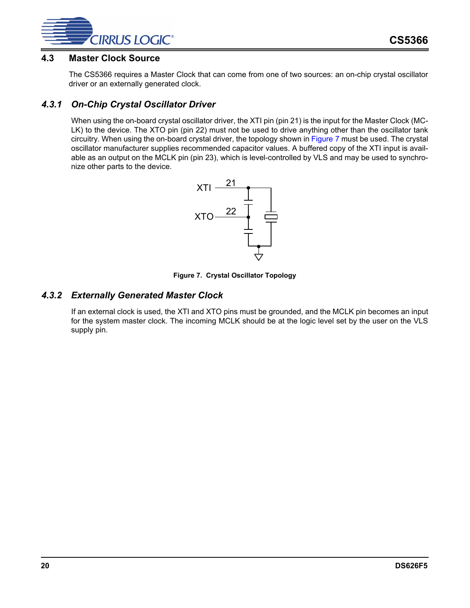![](_page_19_Picture_0.jpeg)

### <span id="page-19-0"></span>**4.3 Master Clock Source**

The CS5366 requires a Master Clock that can come from one of two sources: an on-chip crystal oscillator driver or an externally generated clock.

## <span id="page-19-1"></span>*4.3.1 On-Chip Crystal Oscillator Driver*

When using the on-board crystal oscillator driver, the XTI pin (pin 21) is the input for the Master Clock (MC-LK) to the device. The XTO pin (pin 22) must not be used to drive anything other than the oscillator tank circuitry. When using the on-board crystal driver, the topology shown in [Figure 7](#page-19-3) must be used. The crystal oscillator manufacturer supplies recommended capacitor values. A buffered copy of the XTI input is available as an output on the MCLK pin (pin 23), which is level-controlled by VLS and may be used to synchronize other parts to the device.

![](_page_19_Figure_6.jpeg)

**Figure 7. Crystal Oscillator Topology**

#### <span id="page-19-3"></span><span id="page-19-2"></span>*4.3.2 Externally Generated Master Clock*

If an external clock is used, the XTI and XTO pins must be grounded, and the MCLK pin becomes an input for the system master clock. The incoming MCLK should be at the logic level set by the user on the VLS supply pin.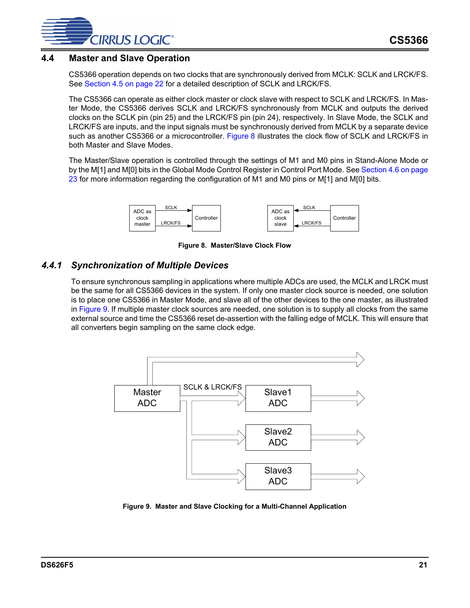![](_page_20_Picture_0.jpeg)

### <span id="page-20-0"></span>**4.4 Master and Slave Operation**

CS5366 operation depends on two clocks that are synchronously derived from MCLK: SCLK and LRCK/FS. See [Section 4.5 on page 22](#page-21-0) for a detailed description of SCLK and LRCK/FS.

The CS5366 can operate as either clock master or clock slave with respect to SCLK and LRCK/FS. In Master Mode, the CS5366 derives SCLK and LRCK/FS synchronously from MCLK and outputs the derived clocks on the SCLK pin (pin 25) and the LRCK/FS pin (pin 24), respectively. In Slave Mode, the SCLK and LRCK/FS are inputs, and the input signals must be synchronously derived from MCLK by a separate device such as another CS5366 or a microcontroller. [Figure 8](#page-20-2) illustrates the clock flow of SCLK and LRCK/FS in both Master and Slave Modes.

The Master/Slave operation is controlled through the settings of M1 and M0 pins in Stand-Alone Mode or by the M[1] and M[0] bits in the Global Mode Control Register in Control Port Mode. See [Section 4.6 on page](#page-22-2) [23](#page-22-2) for more information regarding the configuration of M1 and M0 pins or M[1] and M[0] bits.

![](_page_20_Figure_6.jpeg)

**Figure 8. Master/Slave Clock Flow**

### <span id="page-20-2"></span><span id="page-20-1"></span>*4.4.1 Synchronization of Multiple Devices*

To ensure synchronous sampling in applications where multiple ADCs are used, the MCLK and LRCK must be the same for all CS5366 devices in the system. If only one master clock source is needed, one solution is to place one CS5366 in Master Mode, and slave all of the other devices to the one master, as illustrated in [Figure 9.](#page-20-3) If multiple master clock sources are needed, one solution is to supply all clocks from the same external source and time the CS5366 reset de-assertion with the falling edge of MCLK. This will ensure that all converters begin sampling on the same clock edge.

![](_page_20_Figure_10.jpeg)

<span id="page-20-3"></span>**Figure 9. Master and Slave Clocking for a Multi-Channel Application**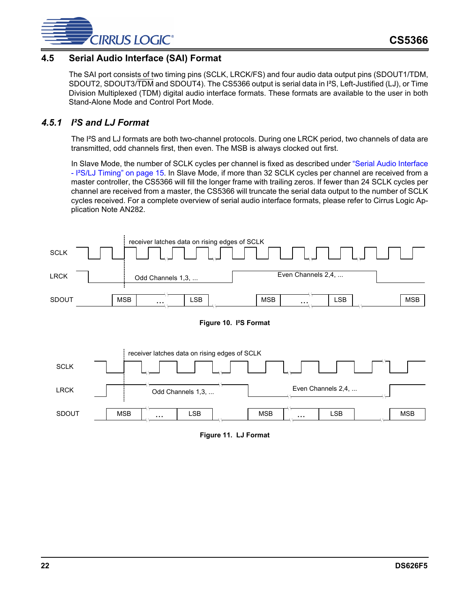![](_page_21_Picture_0.jpeg)

## <span id="page-21-0"></span>**4.5 Serial Audio Interface (SAI) Format**

The SAI port consists of two timing pins (SCLK, LRCK/FS) and four audio data output pins (SDOUT1/TDM, SDOUT2, SDOUT3/TDM and SDOUT4). The CS5366 output is serial data in I²S, Left-Justified (LJ), or Time Division Multiplexed (TDM) digital audio interface formats. These formats are available to the user in both Stand-Alone Mode and Control Port Mode.

## <span id="page-21-1"></span>*4.5.1 I²S and LJ Format*

The I<sup>2</sup>S and LJ formats are both two-channel protocols. During one LRCK period, two channels of data are transmitted, odd channels first, then even. The MSB is always clocked out first.

In Slave Mode, the number of SCLK cycles per channel is fixed as described under ["Serial Audio Interface](#page-14-0) - I<sup>2</sup>S/LJ Timing" on page 15. In Slave Mode, if more than 32 SCLK cycles per channel are received from a master controller, the CS5366 will fill the longer frame with trailing zeros. If fewer than 24 SCLK cycles per channel are received from a master, the CS5366 will truncate the serial data output to the number of SCLK cycles received. For a complete overview of serial audio interface formats, please refer to Cirrus Logic Application Note AN282.

![](_page_21_Figure_7.jpeg)

![](_page_21_Figure_8.jpeg)

<span id="page-21-3"></span><span id="page-21-2"></span>![](_page_21_Figure_9.jpeg)

**Figure 11. LJ Format**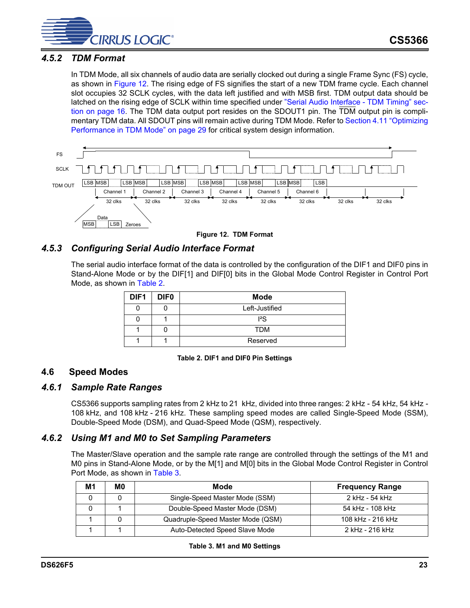![](_page_22_Picture_0.jpeg)

## <span id="page-22-0"></span>*4.5.2 TDM Format*

In TDM Mode, all six channels of audio data are serially clocked out during a single Frame Sync (FS) cycle, as shown in [Figure 12](#page-22-5). The rising edge of FS signifies the start of a new TDM frame cycle. Each channel slot occupies 32 SCLK cycles, with the data left justified and with MSB first. TDM output data should be latched on the rising edge of SCLK within time specified under ["Serial Audio Interface - TDM Timing" sec](#page-15-0)[tion on page 16](#page-15-0). The TDM data output port resides on the SDOUT1 pin. The TDM output pin is complimentary TDM data. All SDOUT pins will remain active during TDM Mode. Refer to [Section 4.11 "Optimizing](#page-28-0) [Performance in TDM Mode" on page 29](#page-28-0) for critical system design information.

![](_page_22_Figure_4.jpeg)

**Figure 12. TDM Format**

## <span id="page-22-5"></span><span id="page-22-1"></span>*4.5.3 Configuring Serial Audio Interface Format*

The serial audio interface format of the data is controlled by the configuration of the DIF1 and DIF0 pins in Stand-Alone Mode or by the DIF[1] and DIF[0] bits in the Global Mode Control Register in Control Port Mode, as shown in [Table 2](#page-22-6).

| DIF <sub>1</sub> | <b>DIFO</b> | <b>Mode</b>    |
|------------------|-------------|----------------|
|                  |             | Left-Justified |
|                  |             | ${}^{12}S$     |
|                  |             | <b>TDM</b>     |
|                  |             | Reserved       |

#### **Table 2. DIF1 and DIF0 Pin Settings**

#### <span id="page-22-6"></span><span id="page-22-2"></span>**4.6 Speed Modes**

#### <span id="page-22-3"></span>*4.6.1 Sample Rate Ranges*

CS5366 supports sampling rates from 2 kHz to 21 kHz, divided into three ranges: 2 kHz - 54 kHz, 54 kHz - 108 kHz, and 108 kHz - 216 kHz. These sampling speed modes are called Single-Speed Mode (SSM), Double-Speed Mode (DSM), and Quad-Speed Mode (QSM), respectively.

#### <span id="page-22-4"></span>*4.6.2 Using M1 and M0 to Set Sampling Parameters*

The Master/Slave operation and the sample rate range are controlled through the settings of the M1 and M0 pins in Stand-Alone Mode, or by the M[1] and M[0] bits in the Global Mode Control Register in Control Port Mode, as shown in [Table 3](#page-22-7).

<span id="page-22-7"></span>

| М1 | M0 | Mode                              | <b>Frequency Range</b> |
|----|----|-----------------------------------|------------------------|
|    |    | Single-Speed Master Mode (SSM)    | 2 kHz - 54 kHz         |
|    |    | Double-Speed Master Mode (DSM)    | 54 kHz - 108 kHz       |
|    |    | Quadruple-Speed Master Mode (QSM) | 108 kHz - 216 kHz      |
|    |    | Auto-Detected Speed Slave Mode    | 2 kHz - 216 kHz        |

#### **Table 3. M1 and M0 Settings**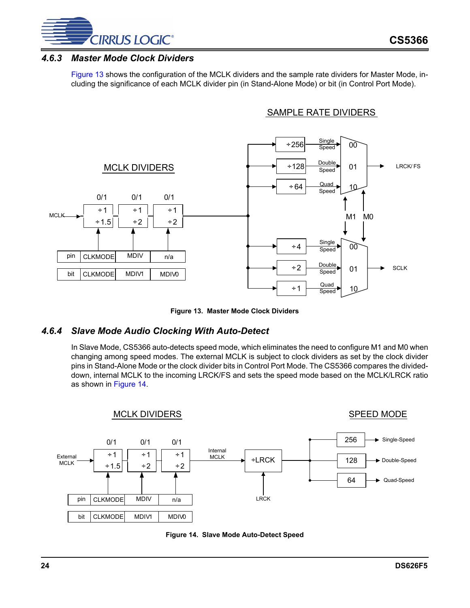![](_page_23_Picture_0.jpeg)

### <span id="page-23-0"></span>*4.6.3 Master Mode Clock Dividers*

[Figure 13](#page-23-2) shows the configuration of the MCLK dividers and the sample rate dividers for Master Mode, including the significance of each MCLK divider pin (in Stand-Alone Mode) or bit (in Control Port Mode).

## SAMPLE RATE DIVIDERS

![](_page_23_Figure_5.jpeg)

**Figure 13. Master Mode Clock Dividers**

### <span id="page-23-2"></span><span id="page-23-1"></span>*4.6.4 Slave Mode Audio Clocking With Auto-Detect*

In Slave Mode, CS5366 auto-detects speed mode, which eliminates the need to configure M1 and M0 when changing among speed modes. The external MCLK is subject to clock dividers as set by the clock divider pins in Stand-Alone Mode or the clock divider bits in Control Port Mode. The CS5366 compares the divideddown, internal MCLK to the incoming LRCK/FS and sets the speed mode based on the MCLK/LRCK ratio as shown in [Figure 14.](#page-23-3)

![](_page_23_Figure_9.jpeg)

<span id="page-23-3"></span>![](_page_23_Figure_10.jpeg)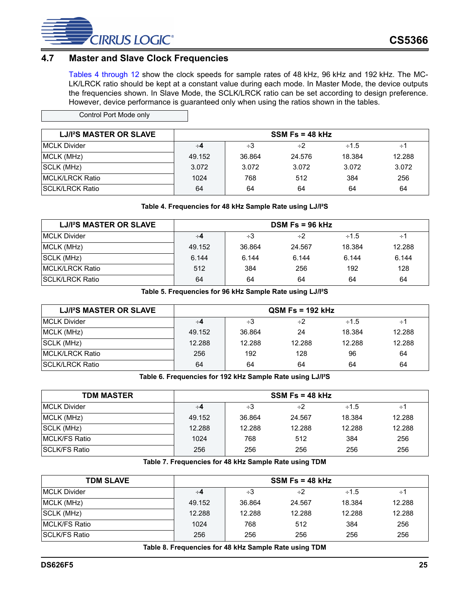![](_page_24_Picture_0.jpeg)

## <span id="page-24-0"></span>**4.7 Master and Slave Clock Frequencies**

[Tables 4 through](#page-24-1) [12](#page-25-3) show the clock speeds for sample rates of 48 kHz, 96 kHz and 192 kHz. The MC-LK/LRCK ratio should be kept at a constant value during each mode. In Master Mode, the device outputs the frequencies shown. In Slave Mode, the SCLK/LRCK ratio can be set according to design preference. However, device performance is guaranteed only when using the ratios shown in the tables.

| Control Port Mode only |  |
|------------------------|--|
|                        |  |

| LJ/I <sup>2</sup> S MASTER OR SLAVE |        |          | $SSM$ Fs = 48 kHz |            |        |
|-------------------------------------|--------|----------|-------------------|------------|--------|
| <b>IMCLK Divider</b>                | ∻4     | $\div 3$ | $\div 2$          | $\div$ 1.5 | ÷1     |
| MCLK (MHz)                          | 49.152 | 36.864   | 24.576            | 18.384     | 12.288 |
| SCLK (MHz)                          | 3.072  | 3.072    | 3.072             | 3.072      | 3.072  |
| <b>IMCLK/LRCK Ratio</b>             | 1024   | 768      | 512               | 384        | 256    |
| <b>ISCLK/LRCK Ratio</b>             | 64     | 64       | 64                | 64         | 64     |

#### **Table 4. Frequencies for 48 kHz Sample Rate using LJ/I²S**

<span id="page-24-1"></span>

| LJ/I <sup>2</sup> S MASTER OR SLAVE |        |        | $DSM$ Fs = 96 kHz |            |          |
|-------------------------------------|--------|--------|-------------------|------------|----------|
| <b>MCLK Divider</b>                 | ∻4     | ÷3     | $\div 2$          | $\div$ 1.5 | $\div$ 1 |
| MCLK (MHz)                          | 49.152 | 36.864 | 24.567            | 18.384     | 12.288   |
| SCLK (MHz)                          | 6.144  | 6.144  | 6.144             | 6.144      | 6.144    |
| <b>IMCLK/LRCK Ratio</b>             | 512    | 384    | 256               | 192        | 128      |
| <b>ISCLK/LRCK Ratio</b>             | 64     | 64     | 64                | 64         | 64       |

**Table 5. Frequencies for 96 kHz Sample Rate using LJ/I²S**

<span id="page-24-2"></span>

| LJ/I <sup>2</sup> S MASTER OR SLAVE |        |        | $\textsf{QSM}$ Fs = 192 kHz |            |        |
|-------------------------------------|--------|--------|-----------------------------|------------|--------|
| <b>IMCLK Divider</b>                | ∻4     | ÷3     | $\div 2$                    | $\div$ 1.5 | ÷1     |
| MCLK (MHz)                          | 49.152 | 36.864 | 24                          | 18.384     | 12.288 |
| SCLK (MHz)                          | 12.288 | 12.288 | 12.288                      | 12.288     | 12.288 |
| MCLK/LRCK Ratio                     | 256    | 192    | 128                         | 96         | 64     |
| <b>ISCLK/LRCK Ratio</b>             | 64     | 64     | 64                          | 64         | 64     |

**Table 6. Frequencies for 192 kHz Sample Rate using LJ/I²S**

<span id="page-24-3"></span>

| <b>TDM MASTER</b>     |        |        | $SSM$ Fs = 48 kHz |            |          |
|-----------------------|--------|--------|-------------------|------------|----------|
| <b>IMCLK Divider</b>  | ∻4     | ÷3     | ÷2                | $\div$ 1.5 | $\div 1$ |
| MCLK (MHz)            | 49.152 | 36.864 | 24.567            | 18.384     | 12.288   |
| SCLK (MHz)            | 12.288 | 12.288 | 12.288            | 12.288     | 12.288   |
| <b>IMCLK/FS Ratio</b> | 1024   | 768    | 512               | 384        | 256      |
| <b>ISCLK/FS Ratio</b> | 256    | 256    | 256               | 256        | 256      |

**Table 7. Frequencies for 48 kHz Sample Rate using TDM**

<span id="page-24-5"></span><span id="page-24-4"></span>

| <b>TDM SLAVE</b>      |        |        | $SSM$ Fs = 48 kHz |            |        |
|-----------------------|--------|--------|-------------------|------------|--------|
| <b>MCLK Divider</b>   | ∻4     | ÷3     | $\div 2$          | $\div$ 1.5 | ÷1     |
| MCLK (MHz)            | 49.152 | 36.864 | 24.567            | 18.384     | 12.288 |
| SCLK (MHz)            | 12.288 | 12.288 | 12.288            | 12.288     | 12.288 |
| <b>IMCLK/FS Ratio</b> | 1024   | 768    | 512               | 384        | 256    |
| <b>SCLK/FS Ratio</b>  | 256    | 256    | 256               | 256        | 256    |

**Table 8. Frequencies for 48 kHz Sample Rate using TDM**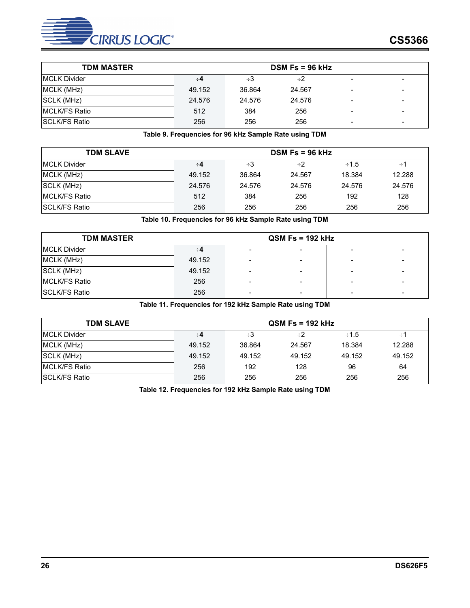![](_page_25_Picture_0.jpeg)

| <b>TDM MASTER</b>     |        | $DSM$ Fs = 96 kHz |          |   |                          |  |  |  |
|-----------------------|--------|-------------------|----------|---|--------------------------|--|--|--|
| <b>IMCLK Divider</b>  | ∻4     | ÷3                | $\div 2$ |   |                          |  |  |  |
| MCLK (MHz)            | 49.152 | 36.864            | 24.567   |   | $\overline{\phantom{0}}$ |  |  |  |
| SCLK (MHz)            | 24.576 | 24.576            | 24.576   |   |                          |  |  |  |
| <b>IMCLK/FS Ratio</b> | 512    | 384               | 256      |   |                          |  |  |  |
| <b>ISCLK/FS Ratio</b> | 256    | 256               | 256      | - | -                        |  |  |  |

#### **Table 9. Frequencies for 96 kHz Sample Rate using TDM**

<span id="page-25-0"></span>

| <b>TDM SLAVE</b>      |        |        | $DSM$ Fs = 96 kHz |            |        |
|-----------------------|--------|--------|-------------------|------------|--------|
| <b>IMCLK Divider</b>  | ∻4     | ÷3     | ÷2                | $\div$ 1.5 | ÷1     |
| MCLK (MHz)            | 49.152 | 36.864 | 24.567            | 18.384     | 12.288 |
| SCLK (MHz)            | 24.576 | 24.576 | 24.576            | 24.576     | 24.576 |
| <b>IMCLK/FS Ratio</b> | 512    | 384    | 256               | 192        | 128    |
| <b>ISCLK/FS Ratio</b> | 256    | 256    | 256               | 256        | 256    |

**Table 10. Frequencies for 96 kHz Sample Rate using TDM**

<span id="page-25-1"></span>

| <b>TDM MASTER</b>     |        |                          |   |  |  |
|-----------------------|--------|--------------------------|---|--|--|
| <b>MCLK Divider</b>   | ∻4     | $\overline{\phantom{a}}$ |   |  |  |
| MCLK (MHz)            | 49.152 | $\overline{\phantom{0}}$ |   |  |  |
| SCLK (MHz)            | 49.152 | $\overline{\phantom{a}}$ |   |  |  |
| <b>IMCLK/FS Ratio</b> | 256    | $\overline{\phantom{a}}$ | - |  |  |
| <b>SCLK/FS Ratio</b>  | 256    | $\overline{\phantom{0}}$ |   |  |  |

**Table 11. Frequencies for 192 kHz Sample Rate using TDM** 

<span id="page-25-3"></span><span id="page-25-2"></span>

| <b>TDM SLAVE</b>      |        |        | $QSM$ Fs = 192 kHz |            |          |
|-----------------------|--------|--------|--------------------|------------|----------|
| <b>IMCLK Divider</b>  | ∻4     | ÷3     | $\div 2$           | $\div$ 1.5 | $\div 1$ |
| MCLK (MHz)            | 49.152 | 36.864 | 24.567             | 18.384     | 12.288   |
| SCLK (MHz)            | 49.152 | 49.152 | 49.152             | 49.152     | 49.152   |
| <b>IMCLK/FS Ratio</b> | 256    | 192    | 128                | 96         | 64       |
| <b>ISCLK/FS Ratio</b> | 256    | 256    | 256                | 256        | 256      |

**Table 12. Frequencies for 192 kHz Sample Rate using TDM**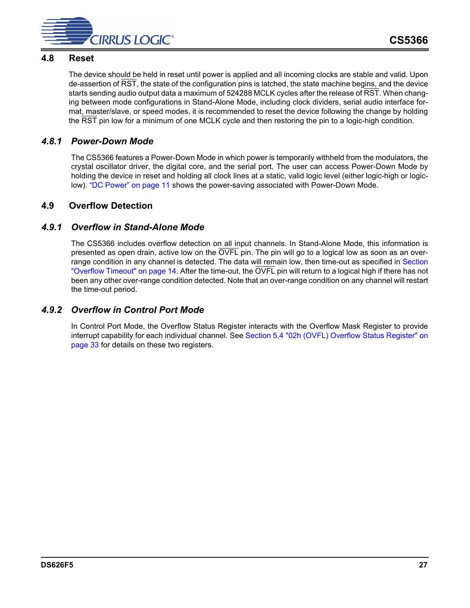![](_page_26_Picture_0.jpeg)

### <span id="page-26-0"></span>**4.8 Reset**

The device should be held in reset until power is applied and all incoming clocks are stable and valid. Upon de-assertion of RST, the state of the configuration pins is latched, the state machine begins, and the device starts sending audio output data a maximum of 524288 MCLK cycles after the release of RST. When changing between mode configurations in Stand-Alone Mode, including clock dividers, serial audio interface format, master/slave, or speed modes, it is recommended to reset the device following the change by holding the RST pin low for a minimum of one MCLK cycle and then restoring the pin to a logic-high condition.

## <span id="page-26-1"></span>*4.8.1 Power-Down Mode*

The CS5366 features a Power-Down Mode in which power is temporarily withheld from the modulators, the crystal oscillator driver, the digital core, and the serial port. The user can access Power-Down Mode by holding the device in reset and holding all clock lines at a static, valid logic level (either logic-high or logiclow). ["DC Power" on page 11](#page-10-0) shows the power-saving associated with Power-Down Mode.

### <span id="page-26-2"></span>**4.9 Overflow Detection**

### <span id="page-26-3"></span>*4.9.1 Overflow in Stand-Alone Mode*

The CS5366 includes overflow detection on all input channels. In Stand-Alone Mode, this information is presented as open drain, active low on the OVFL pin. The pin will go to a logical low as soon as an over-range condition in any channel is detected. The data will remain low, then time-out as specified in [Section](#page-13-1) ["Overflow Timeout" on page 14.](#page-13-1) After the time-out, the OVFL pin will return to a logical high if there has not been any other over-range condition detected. Note that an over-range condition on any channel will restart the time-out period.

## <span id="page-26-4"></span>*4.9.2 Overflow in Control Port Mode*

In Control Port Mode, the Overflow Status Register interacts with the Overflow Mask Register to provide interrupt capability for each individual channel. See [Section 5.4 "02h \(OVFL\) Overflow Status Register" on](#page-32-0) [page 33](#page-32-0) for details on these two registers.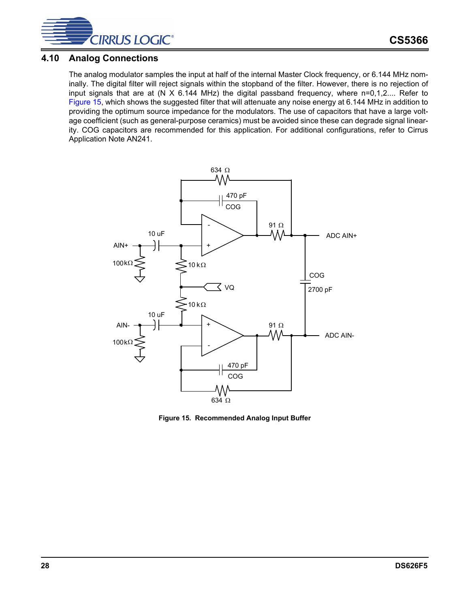![](_page_27_Picture_0.jpeg)

### <span id="page-27-0"></span>**4.10 Analog Connections**

The analog modulator samples the input at half of the internal Master Clock frequency, or 6.144 MHz nominally. The digital filter will reject signals within the stopband of the filter. However, there is no rejection of input signals that are at (N X 6.144 MHz) the digital passband frequency, where n=0,1,2.... Refer to [Figure 15](#page-27-1), which shows the suggested filter that will attenuate any noise energy at 6.144 MHz in addition to providing the optimum source impedance for the modulators. The use of capacitors that have a large voltage coefficient (such as general-purpose ceramics) must be avoided since these can degrade signal linearity. COG capacitors are recommended for this application. For additional configurations, refer to Cirrus Application Note AN241.

![](_page_27_Figure_4.jpeg)

<span id="page-27-1"></span>**Figure 15. Recommended Analog Input Buffer**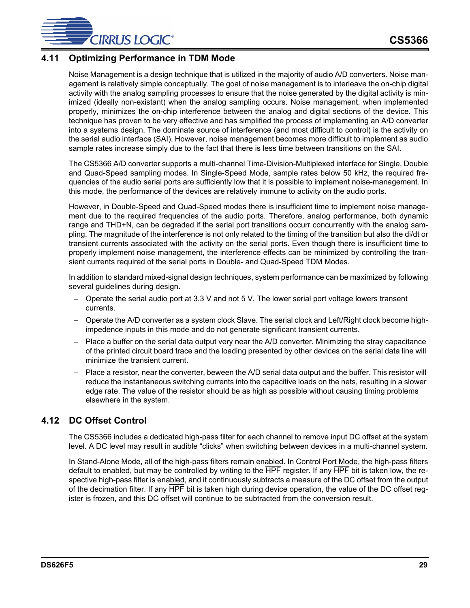![](_page_28_Picture_0.jpeg)

## <span id="page-28-0"></span>**4.11 Optimizing Performance in TDM Mode**

Noise Management is a design technique that is utilized in the majority of audio A/D converters. Noise management is relatively simple conceptually. The goal of noise management is to interleave the on-chip digital activity with the analog sampling processes to ensure that the noise generated by the digital activity is minimized (ideally non-existant) when the analog sampling occurs. Noise management, when implemented properly, minimizes the on-chip interference between the analog and digital sections of the device. This technique has proven to be very effective and has simplified the process of implementing an A/D converter into a systems design. The dominate source of interference (and most difficult to control) is the activity on the serial audio interface (SAI). However, noise management becomes more difficult to implement as audio sample rates increase simply due to the fact that there is less time between transitions on the SAI.

The CS5366 A/D converter supports a multi-channel Time-Division-Multiplexed interface for Single, Double and Quad-Speed sampling modes. In Single-Speed Mode, sample rates below 50 kHz, the required frequencies of the audio serial ports are sufficiently low that it is possible to implement noise-management. In this mode, the performance of the devices are relatively immune to activity on the audio ports.

However, in Double-Speed and Quad-Speed modes there is insufficient time to implement noise management due to the required frequencies of the audio ports. Therefore, analog performance, both dynamic range and THD+N, can be degraded if the serial port transitions occurr concurrently with the analog sampling. The magnitude of the interference is not only related to the timing of the transition but also the di/dt or transient currents associated with the activity on the serial ports. Even though there is insufficient time to properly implement noise management, the interference effects can be minimized by controlling the transient currents required of the serial ports in Double- and Quad-Speed TDM Modes.

In addition to standard mixed-signal design techniques, system performance can be maximized by following several guidelines during design.

- Operate the serial audio port at 3.3 V and not 5 V. The lower serial port voltage lowers transent currents.
- Operate the A/D converter as a system clock Slave. The serial clock and Left/Right clock become highimpedence inputs in this mode and do not generate significant transient currents.
- Place a buffer on the serial data output very near the A/D converter. Minimizing the stray capacitance of the printed circuit board trace and the loading presented by other devices on the serial data line will minimize the transient current.
- Place a resistor, near the converter, beween the A/D serial data output and the buffer. This resistor will reduce the instantaneous switching currents into the capacitive loads on the nets, resulting in a slower edge rate. The value of the resistor should be as high as possible without causing timing problems elsewhere in the system.

## <span id="page-28-1"></span>**4.12 DC Offset Control**

The CS5366 includes a dedicated high-pass filter for each channel to remove input DC offset at the system level. A DC level may result in audible "clicks" when switching between devices in a multi-channel system.

In Stand-Alone Mode, all of the high-pass filters remain enabled. In Control Port Mode, the high-pass filters default to enabled, but may be controlled by writing to the HPF register. If any HPF bit is taken low, the respective high-pass filter is enabled, and it continuously subtracts a measure of the DC offset from the output of the decimation filter. If any HPF bit is taken high during device operation, the value of the DC offset register is frozen, and this DC offset will continue to be subtracted from the conversion result.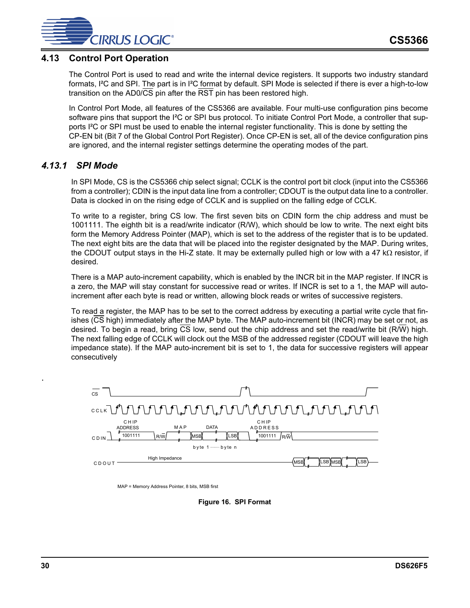![](_page_29_Picture_0.jpeg)

### <span id="page-29-0"></span>**4.13 Control Port Operation**

The Control Port is used to read and write the internal device registers. It supports two industry standard formats, I²C and SPI. The part is in I²C format by default. SPI Mode is selected if there is ever a high-to-low transition on the AD0/ $\overline{CS}$  pin after the  $\overline{RST}$  pin has been restored high.

In Control Port Mode, all features of the CS5366 are available. Four multi-use configuration pins become software pins that support the I<sup>2</sup>C or SPI bus protocol. To initiate Control Port Mode, a controller that supports I²C or SPI must be used to enable the internal register functionality. This is done by setting the CP-EN bit (Bit 7 of the Global Control Port Register). Once CP-EN is set, all of the device configuration pins are ignored, and the internal register settings determine the operating modes of the part.

### <span id="page-29-1"></span>*4.13.1 SPI Mode*

In SPI Mode, CS is the CS5366 chip select signal; CCLK is the control port bit clock (input into the CS5366 from a controller); CDIN is the input data line from a controller; CDOUT is the output data line to a controller. Data is clocked in on the rising edge of CCLK and is supplied on the falling edge of CCLK.

To write to a register, bring CS low. The first seven bits on CDIN form the chip address and must be 1001111. The eighth bit is a read/write indicator (R/W), which should be low to write. The next eight bits form the Memory Address Pointer (MAP), which is set to the address of the register that is to be updated. The next eight bits are the data that will be placed into the register designated by the MAP. During writes, the CDOUT output stays in the Hi-Z state. It may be externally pulled high or low with a 47 k $\Omega$  resistor, if desired.

There is a MAP auto-increment capability, which is enabled by the INCR bit in the MAP register. If INCR is a zero, the MAP will stay constant for successive read or writes. If INCR is set to a 1, the MAP will autoincrement after each byte is read or written, allowing block reads or writes of successive registers.

To read a register, the MAP has to be set to the correct address by executing a partial write cycle that finishes (CS high) immediately after the MAP byte. The MAP auto-increment bit (INCR) may be set or not, as desired. To begin a read, bring  $\overline{CS}$  low, send out the chip address and set the read/write bit (R/W) high. The next falling edge of CCLK will clock out the MSB of the addressed register (CDOUT will leave the high impedance state). If the MAP auto-increment bit is set to 1, the data for successive registers will appear consecutively

![](_page_29_Figure_10.jpeg)

<span id="page-29-2"></span>MAP = Memory Address Pointer, 8 bits, MSB first

**Figure 16. SPI Format**

.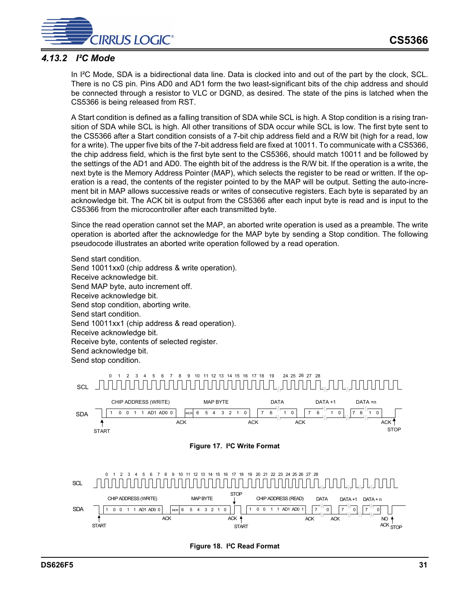![](_page_30_Picture_1.jpeg)

## <span id="page-30-0"></span>*4.13.2 I²C Mode*

In I<sup>2</sup>C Mode, SDA is a bidirectional data line. Data is clocked into and out of the part by the clock, SCL. There is no CS pin. Pins AD0 and AD1 form the two least-significant bits of the chip address and should be connected through a resistor to VLC or DGND, as desired. The state of the pins is latched when the CS5366 is being released from RST.

A Start condition is defined as a falling transition of SDA while SCL is high. A Stop condition is a rising transition of SDA while SCL is high. All other transitions of SDA occur while SCL is low. The first byte sent to the CS5366 after a Start condition consists of a 7-bit chip address field and a R/W bit (high for a read, low for a write). The upper five bits of the 7-bit address field are fixed at 10011. To communicate with a CS5366, the chip address field, which is the first byte sent to the CS5366, should match 10011 and be followed by the settings of the AD1 and AD0. The eighth bit of the address is the R/W bit. If the operation is a write, the next byte is the Memory Address Pointer (MAP), which selects the register to be read or written. If the operation is a read, the contents of the register pointed to by the MAP will be output. Setting the auto-increment bit in MAP allows successive reads or writes of consecutive registers. Each byte is separated by an acknowledge bit. The ACK bit is output from the CS5366 after each input byte is read and is input to the CS5366 from the microcontroller after each transmitted byte.

Since the read operation cannot set the MAP, an aborted write operation is used as a preamble. The write operation is aborted after the acknowledge for the MAP byte by sending a Stop condition. The following pseudocode illustrates an aborted write operation followed by a read operation.

Send start condition. Send 10011xx0 (chip address & write operation). Receive acknowledge bit. Send MAP byte, auto increment off. Receive acknowledge bit. Send stop condition, aborting write. Send start condition. Send 10011xx1 (chip address & read operation). Receive acknowledge bit. Receive byte, contents of selected register. Send acknowledge bit. Send stop condition.

<span id="page-30-1"></span>![](_page_30_Figure_7.jpeg)

<span id="page-30-2"></span>**Figure 18. I²C Read Format**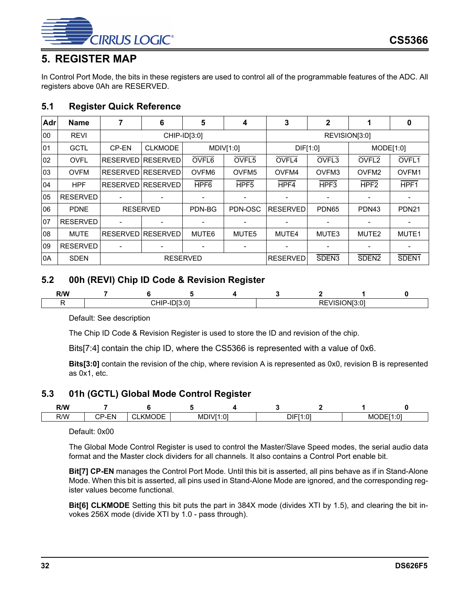![](_page_31_Picture_0.jpeg)

## <span id="page-31-0"></span>**5. REGISTER MAP**

In Control Port Mode, the bits in these registers are used to control all of the programmable features of the ADC. All registers above 0Ah are RESERVED.

## <span id="page-31-1"></span>**5.1 Register Quick Reference**

| Adr | <b>Name</b>     |                 | 6                        | 5                 | 4                 | 3               | $\mathbf{2}$      |                   | 0                 |
|-----|-----------------|-----------------|--------------------------|-------------------|-------------------|-----------------|-------------------|-------------------|-------------------|
| 00  | <b>REVI</b>     |                 | CHIP-ID[3:0]             |                   |                   |                 | REVISION[3:0]     |                   |                   |
| 01  | <b>GCTL</b>     | CP-EN           | <b>CLKMODE</b>           |                   | MDIV[1:0]         | DIF[1:0]        |                   | MODE[1:0]         |                   |
| 02  | <b>OVFL</b>     |                 | RESERVED RESERVED        | OVFL6             | OVFL5             | OVFL4           | OVFL <sub>3</sub> | OVFL <sub>2</sub> | OVFL1             |
| 03  | <b>OVFM</b>     |                 | RESERVED RESERVED        | OVFM <sub>6</sub> | OVFM <sub>5</sub> | OVFM4           | OVFM3             | OVFM <sub>2</sub> | OVFM1             |
| 04  | <b>HPF</b>      |                 | <b>RESERVED RESERVED</b> | HPF <sub>6</sub>  | HPF <sub>5</sub>  | HPF4            | HPF <sub>3</sub>  | HPF <sub>2</sub>  | HPF1              |
| 05  | <b>RESERVED</b> |                 |                          |                   |                   |                 |                   |                   |                   |
| 06  | <b>PDNE</b>     |                 | <b>RESERVED</b>          | PDN-BG            | PDN-OSC           | <b>RESERVED</b> | PDN <sub>65</sub> | PDN43             | <b>PDN21</b>      |
| 07  | <b>RESERVED</b> |                 |                          |                   |                   |                 |                   |                   |                   |
| 08  | <b>MUTE</b>     |                 | RESERVED RESERVED        | MUTE6             | MUTE <sub>5</sub> | MUTE4           | MUTE3             | MUTE2             | MUTE1             |
| 09  | <b>RESERVED</b> |                 |                          |                   |                   |                 |                   |                   |                   |
| 0A  | <b>SDEN</b>     | <b>RESERVED</b> |                          |                   |                   | <b>RESERVED</b> | SDEN <sub>3</sub> | SDEN <sub>2</sub> | SDEN <sub>1</sub> |

## <span id="page-31-2"></span>**5.2 00h (REVI) Chip ID Code & Revision Register**

| R/M<br>IV V<br>---- |              |  |  |  |          |    |  |
|---------------------|--------------|--|--|--|----------|----|--|
|                     | . .<br>' ''' |  |  |  | ז ר<br>- | ۱N |  |

Default: See description

The Chip ID Code & Revision Register is used to store the ID and revision of the chip.

Bits[7:4] contain the chip ID, where the CS5366 is represented with a value of 0x6.

**Bits[3:0]** contain the revision of the chip, where revision A is represented as 0x0, revision B is represented as 0x1, etc.

### <span id="page-31-3"></span>**5.3 01h (GCTL) Global Mode Control Register**

| R/W |                                              |                            |                                    |  |          |            |               |
|-----|----------------------------------------------|----------------------------|------------------------------------|--|----------|------------|---------------|
| R/W | <b>EN</b><br>∩n<br>. .<br>- 1<br>◡<br>$\sim$ | ∩DF<br>$\sim$<br>-KML<br>. | $\cdot$ $\sim$<br>151<br>MD<br>ï.∪ |  | DIF[1:0] | MO.<br>⊣וו | :11·01<br>. J |

Default: 0x00

The Global Mode Control Register is used to control the Master/Slave Speed modes, the serial audio data format and the Master clock dividers for all channels. It also contains a Control Port enable bit.

**Bit[7] CP-EN** manages the Control Port Mode. Until this bit is asserted, all pins behave as if in Stand-Alone Mode. When this bit is asserted, all pins used in Stand-Alone Mode are ignored, and the corresponding register values become functional.

**Bit[6] CLKMODE** Setting this bit puts the part in 384X mode (divides XTI by 1.5), and clearing the bit invokes 256X mode (divide XTI by 1.0 - pass through).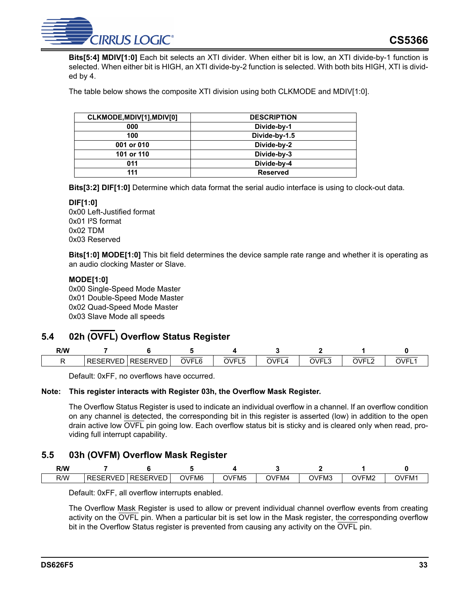![](_page_32_Picture_0.jpeg)

**Bits[5:4] MDIV[1:0]** Each bit selects an XTI divider. When either bit is low, an XTI divide-by-1 function is selected. When either bit is HIGH, an XTI divide-by-2 function is selected. With both bits HIGH, XTI is divided by 4.

The table below shows the composite XTI division using both CLKMODE and MDIV[1:0].

| CLKMODE, MDIV[1], MDIV[0] | <b>DESCRIPTION</b> |
|---------------------------|--------------------|
| 000                       | Divide-by-1        |
| 100                       | Divide-by-1.5      |
| 001 or 010                | Divide-by-2        |
| 101 or 110                | Divide-by-3        |
| 011                       | Divide-by-4        |
| 111                       | <b>Reserved</b>    |

**Bits[3:2] DIF[1:0]** Determine which data format the serial audio interface is using to clock-out data.

#### **DIF[1:0]**

0x00 Left-Justified format 0x01 I²S format 0x02 TDM 0x03 Reserved

**Bits[1:0] MODE[1:0]** This bit field determines the device sample rate range and whether it is operating as an audio clocking Master or Slave.

#### **MODE[1:0]**

0x00 Single-Speed Mode Master 0x01 Double-Speed Mode Master 0x02 Quad-Speed Mode Master 0x03 Slave Mode all speeds

## <span id="page-32-0"></span>**5.4 02h (OVFL) Overflow Status Register**

| R/W |                 |                 |       |            |           |       |           |      |
|-----|-----------------|-----------------|-------|------------|-----------|-------|-----------|------|
|     | <b>RESERVED</b> | <b>RESERVED</b> | OVFL6 | OVFL<br>∼∟ | OVF'<br>≖ | OVFL3 | OVF'<br>└ | OVFL |

Default: 0xFF, no overflows have occurred.

#### **Note: This register interacts with Register 03h, the Overflow Mask Register.**

The Overflow Status Register is used to indicate an individual overflow in a channel. If an overflow condition on any channel is detected, the corresponding bit in this register is asserted (low) in addition to the open drain active low OVFL pin going low. Each overflow status bit is sticky and is cleared only when read, providing full interrupt capability.

### <span id="page-32-1"></span>**5.5 03h (OVFM) Overflow Mask Register**

| R/W |                                   |                                  |                   |                   |              |       |       |       |
|-----|-----------------------------------|----------------------------------|-------------------|-------------------|--------------|-------|-------|-------|
| R/W | $ -$<br>DЕ<br>SERVE'<br>RE<br>--- | <b>RESERVED</b><br>$\cdot$<br>-- | OVFM <sub>6</sub> | OVFM <sub>5</sub> | <b>OVFM4</b> | OVFM3 | OVFM2 | OVFM. |

Default: 0xFF, all overflow interrupts enabled.

The Overflow Mask Register is used to allow or prevent individual channel overflow events from creating activity on the OVFL pin. When a particular bit is set low in the Mask register, the corresponding overflow bit in the Overflow Status register is prevented from causing any activity on the OVFL pin.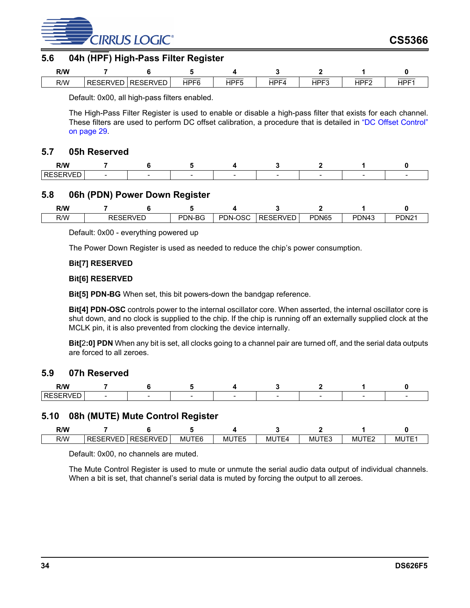![](_page_33_Picture_0.jpeg)

## <span id="page-33-0"></span>**5.6 04h (HPF) High-Pass Filter Register**

| R/W |                                                |                 |      |            |      |               |         |            |
|-----|------------------------------------------------|-----------------|------|------------|------|---------------|---------|------------|
| R/W | $\sim$ $\sim$ $\sim$ $\sim$ $\sim$<br>RESERVEL | <b>RESERVED</b> | HPF6 | $H$ PF $F$ | HPF4 | $H$ DEC<br>⊣⊢ | $HPF^c$ | <b>HPF</b> |

Default: 0x00, all high-pass filters enabled.

The High-Pass Filter Register is used to enable or disable a high-pass filter that exists for each channel. These filters are used to perform DC offset calibration, a procedure that is detailed in ["DC Offset Control"](#page-28-1) [on page 29.](#page-28-1)

### <span id="page-33-1"></span>**5.7 05h Reserved**

| R/W<br>----              |  |  |  |  |
|--------------------------|--|--|--|--|
| $\sim$<br>or<br>``<br>-- |  |  |  |  |

### <span id="page-33-2"></span>**5.8 06h (PDN) Power Down Register**

| <b>R/W</b> |      |               |        |              |                 |       |       |                   |
|------------|------|---------------|--------|--------------|-----------------|-------|-------|-------------------|
| R/W        | ◝└┘└ | <b>DERVEL</b> | PDN-BG | .OSC<br>PDN- | <b>RESERVED</b> | PDN65 | PDN43 | PDN <sub>21</sub> |

Default: 0x00 - everything powered up

The Power Down Register is used as needed to reduce the chip's power consumption.

#### **Bit[7] RESERVED**

#### **Bit[6] RESERVED**

**Bit[5] PDN-BG** When set, this bit powers-down the bandgap reference.

**Bit[4] PDN-OSC** controls power to the internal oscillator core. When asserted, the internal oscillator core is shut down, and no clock is supplied to the chip. If the chip is running off an externally supplied clock at the MCLK pin, it is also prevented from clocking the device internally.

**Bit[**2**:0] PDN** When any bit is set, all clocks going to a channel pair are turned off, and the serial data outputs are forced to all zeroes.

### <span id="page-33-3"></span>**5.9 07h Reserved**

| R/W |  |  |  |  |
|-----|--|--|--|--|
| . . |  |  |  |  |

#### <span id="page-33-4"></span>**5.10 08h (MUTE) Mute Control Register**

| R/W |                 |          |       |       |              |              |            |      |
|-----|-----------------|----------|-------|-------|--------------|--------------|------------|------|
| R/W | <b>RESERVEI</b> | RESERVED | MUTE6 | MUTE5 | MUTF<br>` ⊢4 | <b>MUTE3</b> | 'TE2<br>ML | MUTL |

Default: 0x00, no channels are muted.

The Mute Control Register is used to mute or unmute the serial audio data output of individual channels. When a bit is set, that channel's serial data is muted by forcing the output to all zeroes.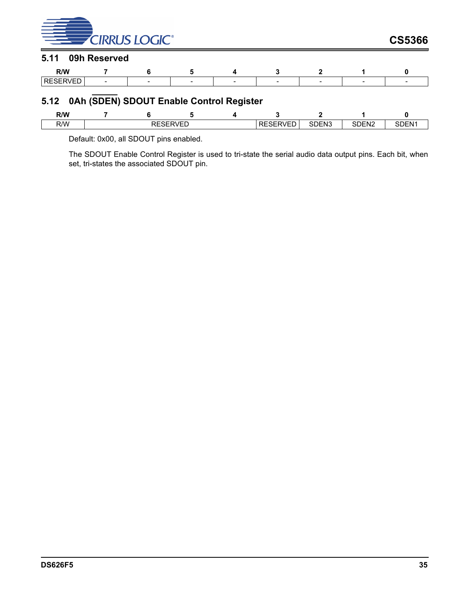<span id="page-34-0"></span>

| <b>EXECUTER CIRRUS LOGIC</b> |              |                 |   |                                          |                 |                   |                   | <b>CS5366</b>     |
|------------------------------|--------------|-----------------|---|------------------------------------------|-----------------|-------------------|-------------------|-------------------|
| 5.11                         | 09h Reserved |                 |   |                                          |                 |                   |                   |                   |
| R/W                          |              | 6               | 5 | 4                                        |                 | 2                 |                   | 0                 |
| <b>RESERVED</b>              |              |                 |   |                                          |                 |                   |                   |                   |
| 5.12                         |              |                 |   | 0Ah (SDEN) SDOUT Enable Control Register |                 |                   |                   |                   |
| R/W                          |              | 6               | 5 | 4                                        |                 | 2                 |                   | 0                 |
| R/W                          |              | <b>RESERVED</b> |   |                                          | <b>RESERVED</b> | SDEN <sub>3</sub> | SDEN <sub>2</sub> | SDEN <sub>1</sub> |

<span id="page-34-1"></span>Default: 0x00, all SDOUT pins enabled.

The SDOUT Enable Control Register is used to tri-state the serial audio data output pins. Each bit, when set, tri-states the associated SDOUT pin.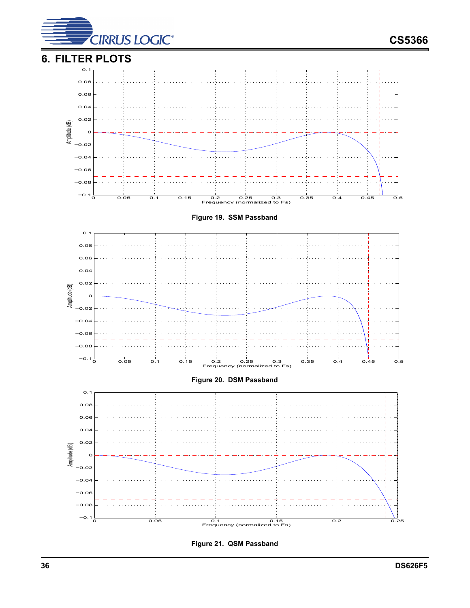<span id="page-35-1"></span><span id="page-35-0"></span>![](_page_35_Figure_0.jpeg)

<span id="page-35-3"></span><span id="page-35-2"></span>**Figure 21. QSM Passband**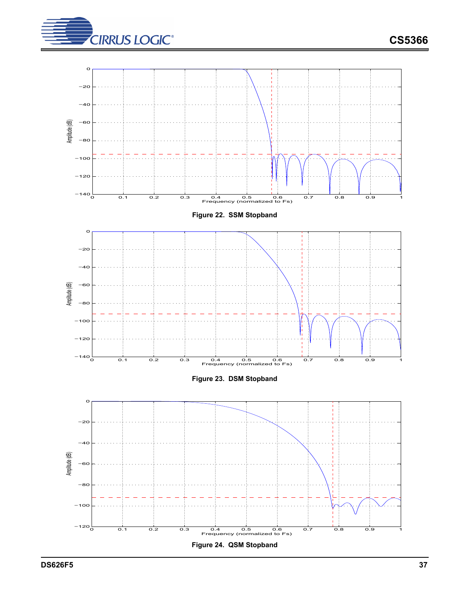![](_page_36_Picture_0.jpeg)

<span id="page-36-2"></span><span id="page-36-1"></span><span id="page-36-0"></span>![](_page_36_Figure_2.jpeg)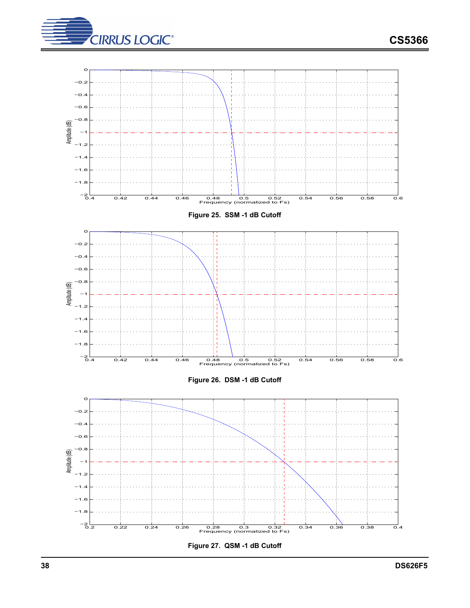![](_page_37_Picture_0.jpeg)

![](_page_37_Picture_1.jpeg)

<span id="page-37-2"></span><span id="page-37-1"></span><span id="page-37-0"></span>![](_page_37_Figure_2.jpeg)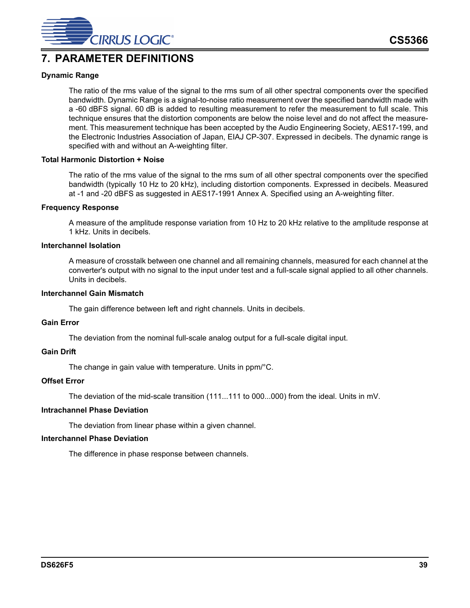![](_page_38_Picture_0.jpeg)

## <span id="page-38-0"></span>**7. PARAMETER DEFINITIONS**

#### **Dynamic Range**

The ratio of the rms value of the signal to the rms sum of all other spectral components over the specified bandwidth. Dynamic Range is a signal-to-noise ratio measurement over the specified bandwidth made with a -60 dBFS signal. 60 dB is added to resulting measurement to refer the measurement to full scale. This technique ensures that the distortion components are below the noise level and do not affect the measurement. This measurement technique has been accepted by the Audio Engineering Society, AES17-199, and the Electronic Industries Association of Japan, EIAJ CP-307. Expressed in decibels. The dynamic range is specified with and without an A-weighting filter.

#### **Total Harmonic Distortion + Noise**

The ratio of the rms value of the signal to the rms sum of all other spectral components over the specified bandwidth (typically 10 Hz to 20 kHz), including distortion components. Expressed in decibels. Measured at -1 and -20 dBFS as suggested in AES17-1991 Annex A. Specified using an A-weighting filter.

#### **Frequency Response**

A measure of the amplitude response variation from 10 Hz to 20 kHz relative to the amplitude response at 1 kHz. Units in decibels.

#### **Interchannel Isolation**

A measure of crosstalk between one channel and all remaining channels, measured for each channel at the converter's output with no signal to the input under test and a full-scale signal applied to all other channels. Units in decibels.

#### **Interchannel Gain Mismatch**

The gain difference between left and right channels. Units in decibels.

#### **Gain Error**

The deviation from the nominal full-scale analog output for a full-scale digital input.

#### **Gain Drift**

The change in gain value with temperature. Units in ppm/°C.

#### **Offset Error**

The deviation of the mid-scale transition (111...111 to 000...000) from the ideal. Units in mV.

#### **Intrachannel Phase Deviation**

The deviation from linear phase within a given channel.

#### **Interchannel Phase Deviation**

The difference in phase response between channels.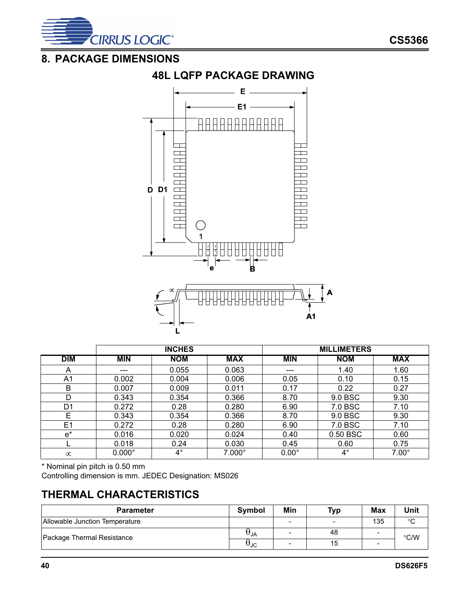![](_page_39_Picture_0.jpeg)

## <span id="page-39-1"></span><span id="page-39-0"></span>**8. PACKAGE DIMENSIONS**

![](_page_39_Figure_3.jpeg)

|                |               | <b>INCHES</b> |               | <b>MILLIMETERS</b> |            |              |  |
|----------------|---------------|---------------|---------------|--------------------|------------|--------------|--|
| <b>DIM</b>     | <b>MIN</b>    | <b>NOM</b>    | <b>MAX</b>    | <b>MIN</b>         | <b>NOM</b> | <b>MAX</b>   |  |
| A              | ---           | 0.055         | 0.063         | ---                | 1.40       | 1.60         |  |
| A1             | 0.002         | 0.004         | 0.006         | 0.05               | 0.10       | 0.15         |  |
| B              | 0.007         | 0.009         | 0.011         | 0.17               | 0.22       | 0.27         |  |
| D              | 0.343         | 0.354         | 0.366         | 8.70               | 9.0 BSC    | 9.30         |  |
| D <sub>1</sub> | 0.272         | 0.28          | 0.280         | 6.90               | 7.0 BSC    | 7.10         |  |
| F              | 0.343         | 0.354         | 0.366         | 8.70               | 9.0 BSC    | 9.30         |  |
| E <sub>1</sub> | 0.272         | 0.28          | 0.280         | 6.90               | 7.0 BSC    | 7.10         |  |
| $e^*$          | 0.016         | 0.020         | 0.024         | 0.40               | 0.50 BSC   | 0.60         |  |
|                | 0.018         | 0.24          | 0.030         | 0.45               | 0.60       | 0.75         |  |
| $\infty$       | $0.000^\circ$ | $4^\circ$     | $7.000^\circ$ | $0.00^\circ$       | $4^\circ$  | $7.00^\circ$ |  |

\* Nominal pin pitch is 0.50 mm

Controlling dimension is mm. JEDEC Designation: MS026

## <span id="page-39-2"></span>**THERMAL CHARACTERISTICS**

| <b>Parameter</b>               | Symbol | Min | Typ | <b>Max</b> | Unit   |
|--------------------------------|--------|-----|-----|------------|--------|
| Allowable Junction Temperature |        |     | -   | 135        | $\sim$ |
| Package Thermal Resistance     | UJΑ    |     | 48  | -          | °C/W   |
|                                | σJC    |     | 15  |            |        |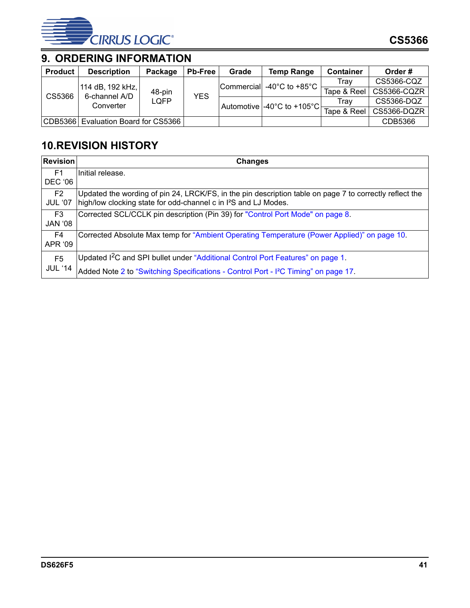![](_page_40_Picture_0.jpeg)

## <span id="page-40-0"></span>**9. ORDERING INFORMATION**

| <b>Product</b> | <b>Description</b>                    | Package | <b>Pb-Free</b> | Grade | <b>Temp Range</b>          | <b>Container</b> | Order#      |
|----------------|---------------------------------------|---------|----------------|-------|----------------------------|------------------|-------------|
|                |                                       |         |                |       | Commercial -40°C to +85°C  | Trav             | CS5366-CQZ  |
| CS5366         | 114 dB, 192 kHz,  <br>6-channel A/D   | 48-pin  | <b>YES</b>     |       |                            | Tape & Reel      | CS5366-CQZR |
|                | Converter                             | LOFP    |                |       | Automotive -40°C to +105°C | Trav             | CS5366-DQZ  |
|                |                                       |         |                |       |                            | Tape & Reel      | CS5366-DQZR |
|                | CDB5366   Evaluation Board for CS5366 |         |                |       |                            |                  | CDB5366     |

## <span id="page-40-1"></span>**10.REVISION HISTORY**

| <b>Revision</b>                  | <b>Changes</b>                                                                                          |
|----------------------------------|---------------------------------------------------------------------------------------------------------|
| F1                               | Initial release.                                                                                        |
| <b>DEC '06</b>                   |                                                                                                         |
| F2                               | Updated the wording of pin 24, LRCK/FS, in the pin description table on page 7 to correctly reflect the |
| <b>JUL '07</b>                   | high/low clocking state for odd-channel c in I <sup>2</sup> S and LJ Modes.                             |
| F3                               | Corrected SCL/CCLK pin description (Pin 39) for "Control Port Mode" on page 8.                          |
| <b>80' JAN</b>                   |                                                                                                         |
| F4                               | Corrected Absolute Max temp for "Ambient Operating Temperature (Power Applied)" on page 10.             |
| APR '09                          |                                                                                                         |
| F <sub>5</sub><br><b>JUL '14</b> | Updated I <sup>2</sup> C and SPI bullet under "Additional Control Port Features" on page 1.             |
|                                  | Added Note 2 to "Switching Specifications - Control Port - I <sup>2</sup> C Timing" on page 17.         |